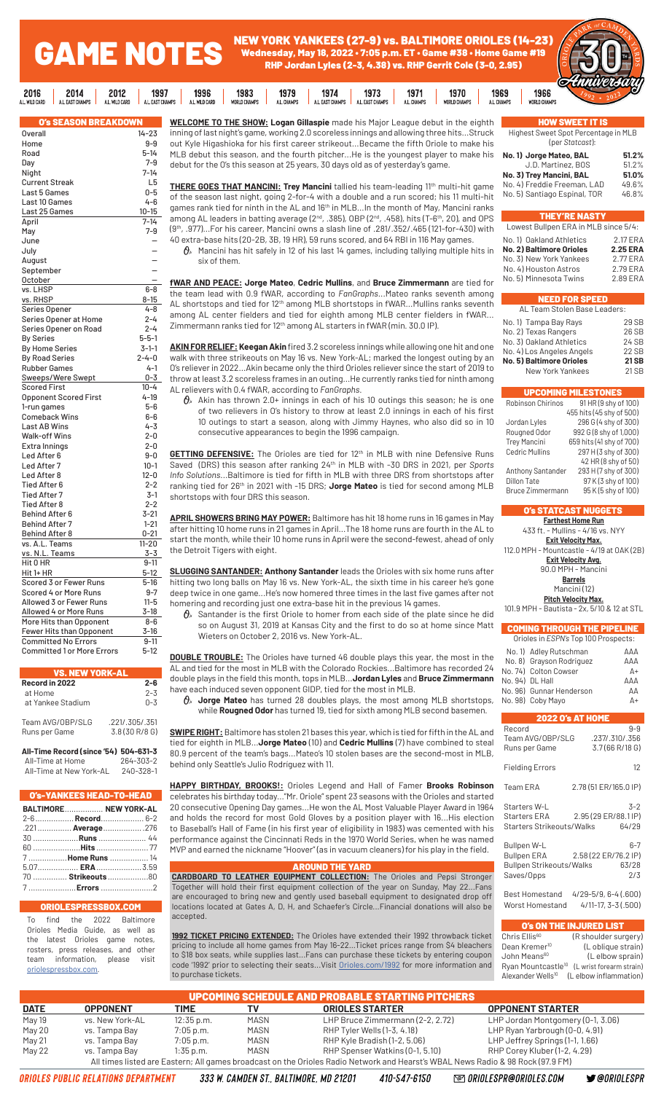NEW YORK YANKEES (27-9) vs. BALTIMORE ORIOLES (14-23) Wednesday, May 18, 2022 • 7:05 p.m. ET • Game #38 • Home Game #19 RHP Jordan Lyles (2-3, 4.38) vs. RHP Gerrit Cole (3-0, 2.95)

1971

1970

1969

1973



| <b>O's SEASON BREAKDOWN</b>       |                |
|-----------------------------------|----------------|
| <b>Overall</b>                    | $14 - 23$      |
| Home                              | $9-9$          |
| Road                              | 5-14           |
| Day                               | $7 - 9$        |
| Night                             | $7 - 14$       |
| <b>Current Streak</b>             | L <sub>5</sub> |
| Last 5 Games                      | $0 - 5$        |
| Last 10 Games                     | 4-6            |
| Last 25 Games                     | $10 - 15$      |
| April                             | $7 - 14$       |
| May                               | $7 - 9$        |
| June                              |                |
| July                              |                |
| August                            |                |
| September                         |                |
| October                           |                |
| vs. LHSP                          | $6 - 8$        |
| vs. RHSP                          | 8-15           |
| Series Opener                     | 4-8            |
| Series Opener at Home             | $2 - 4$        |
| Series Opener on Road             | $2 - 4$        |
| <b>By Series</b>                  | $5 - 5 - 1$    |
| <b>By Home Series</b>             | $3 - 1 - 1$    |
| <b>By Road Series</b>             | $2 - 4 - 0$    |
| <b>Rubber Games</b>               | $4 - 1$        |
| Sweeps/Were Swept                 | $0 - 3$        |
| <b>Scored First</b>               | $10 - 4$       |
| <b>Opponent Scored First</b>      | 4-19           |
| 1-run games                       | $5 - 6$        |
| <b>Comeback Wins</b>              | $6-6$          |
| Last AB Wins                      | $4 - 3$        |
| Walk-off Wins                     | $2 - 0$        |
| Extra Innings                     | $2 - 0$        |
| Led After 6                       | $9-0$          |
| Led After 7                       | $10-1$         |
| Led After 8                       | $12 - 0$       |
| <b>Tied After 6</b>               | $2 - 2$        |
| <b>Tied After 7</b>               | $3-1$          |
| <b>Tied After 8</b>               | $2 - 2$        |
| <b>Behind After 6</b>             | 3-21           |
| <b>Behind After 7</b>             | $1 - 21$       |
| <b>Behind After 8</b>             | $0 - 21$       |
| vs. A.L. Teams                    | $11 - 20$      |
| vs. N.L. Teams                    | $3 - 3$        |
| Hit 0 HR                          | $9 - 11$       |
| Hit 1+ HR                         | $5-12$         |
| Scored 3 or Fewer Runs            | $5 - 16$       |
| Scored 4 or More Runs             | 9-7            |
| Allowed 3 or Fewer Runs           | $11 - 5$       |
| Allowed 4 or More Runs            | $3 - 18$       |
| More Hits than Opponent           | $8 - 6$        |
| Fewer Hits than Opponent          | 3-16           |
| <b>Committed No Errors</b>        | $9 - 11$       |
| <b>Committed 1 or More Errors</b> | $5-12$         |

GAME NOTES

1997

A.L.E

1996

1983

1979

2012

 $2014$ 

 $2016$ 

.<br>Card

| <b>VS. NEW YORK-AL</b>                |                                  |  |  |  |
|---------------------------------------|----------------------------------|--|--|--|
| Record in 2022                        | $2 - 6$                          |  |  |  |
| at Home<br>at Yankee Stadium          | $2 - 3$<br>$0 - 3$               |  |  |  |
| Team AVG/OBP/SLG<br>Runs per Game     | .221/.305/.351<br>3.8 (30 R/8 G) |  |  |  |
| All-Time Record (since '54) 504-631-3 |                                  |  |  |  |

 All-Time at Home 264-303-2 All-Time at New York-AL 240-328-1

| O's-YANKEES HEAD-TO-HEAD |  |                      |  |  |
|--------------------------|--|----------------------|--|--|
| BALTIMORE NEW YORK-AL    |  |                      |  |  |
|                          |  | 2-6 Record 6-2       |  |  |
|                          |  | .221 Average276      |  |  |
|                          |  | 30 <b>Runs</b> 44    |  |  |
|                          |  |                      |  |  |
|                          |  | 7  Home Runs  14     |  |  |
|                          |  | 5.07 <b>ERA</b> 3.59 |  |  |
|                          |  | 70  Strikeouts 80    |  |  |

7 .....................**Errors** .......................2

#### ORIOLESPRESSBOX.COM

To find the 2022 Baltimore Orioles Media Guide, as well as latest Orioles game notes, rosters, press releases, and other team information, please visit [oriolespressbox.com.](http://www.oriolespressbox.com)

**WELCOME TO THE SHOW: Logan Gillaspie** made his Major League debut in the eighth inning of last night's game, working 2.0 scoreless innings and allowing three hits...Struck out Kyle Higashioka for his first career strikeout...Became the fifth Oriole to make his MLB debut this season, and the fourth pitcher...He is the youngest player to make his debut for the O's this season at 25 years, 30 days old as of yesterday's game.

1974

**THERE GOES THAT MANCINI: Trey Mancini** tallied his team-leading 11th multi-hit game of the season last night, going 2-for-4 with a double and a run scored; his 11 multi-hit games rank tied for ninth in the AL and 16th in MLB...In the month of May, Mancini ranks among AL leaders in batting average (2<sup>nd</sup>, .385), OBP (2<sup>nd</sup>, .458), hits (T-6<sup>th</sup>, 20), and OPS (9th, .977)...For his career, Mancini owns a slash line of .281/.352/.465 (121-for-430) with 40 extra-base hits (20-2B, 3B, 19 HR), 59 runs scored, and 64 RBI in 116 May games.

 $\pmb{\theta}_\text{\tiny A}$  Mancini has hit safely in 12 of his last 14 games, including tallying multiple hits in six of them.

**fWAR AND PEACE: Jorge Mateo**, **Cedric Mullins**, and **Bruce Zimmermann** are tied for the team lead with 0.9 fWAR, according to *FanGraphs*...Mateo ranks seventh among AL shortstops and tied for 12<sup>th</sup> among MLB shortstops in fWAR...Mullins ranks seventh among AL center fielders and tied for eighth among MLB center fielders in fWAR... Zimmermann ranks tied for 12th among AL starters in fWAR (min. 30.0 IP).

**AKIN FOR RELIEF: Keegan Akin** fired 3.2 scoreless innings while allowing one hit and one walk with three strikeouts on May 16 vs. New York-AL; marked the longest outing by an O's reliever in 2022...Akin became only the third Orioles reliever since the start of 2019 to throw at least 3.2 scoreless frames in an outing...He currently ranks tied for ninth among AL relievers with 0.4 fWAR, according to *FanGraphs*.

 $\theta$ <sup>\*</sup> Akin has thrown 2.0+ innings in each of his 10 outings this season; he is one of two relievers in O's history to throw at least 2.0 innings in each of his first 10 outings to start a season, along with Jimmy Haynes, who also did so in 10 consecutive appearances to begin the 1996 campaign.

GETTING DEFENSIVE: The Orioles are tied for 12<sup>th</sup> in MLB with nine Defensive Runs Saved (DRS) this season after ranking 24<sup>th</sup> in MLB with -30 DRS in 2021, per *Sports Info Solutions*...Baltimore is tied for fifth in MLB with three DRS from shortstops after ranking tied for 26<sup>th</sup> in 2021 with -15 DRS; **Jorge Mateo** is tied for second among MLB shortstops with four DRS this season.

**APRIL SHOWERS BRING MAY POWER:** Baltimore has hit 18 home runs in 16 games in May after hitting 10 home runs in 21 games in April...The 18 home runs are fourth in the AL to start the month, while their 10 home runs in April were the second-fewest, ahead of only the Detroit Tigers with eight.

**SLUGGING SANTANDER: Anthony Santander** leads the Orioles with six home runs after hitting two long balls on May 16 vs. New York-AL, the sixth time in his career he's gone deep twice in one game...He's now homered three times in the last five games after not homering and recording just one extra-base hit in the previous 14 games.

 $\theta$  Santander is the first Oriole to homer from each side of the plate since he did so on August 31, 2019 at Kansas City and the first to do so at home since Matt Wieters on October 2, 2016 vs. New York-AL.

**DOUBLE TROUBLE:** The Orioles have turned 46 double plays this year, the most in the AL and tied for the most in MLB with the Colorado Rockies...Baltimore has recorded 24 double plays in the field this month, tops in MLB...**Jordan Lyles** and **Bruce Zimmermann**  have each induced seven opponent GIDP, tied for the most in MLB.

 **Jorge Mateo** has turned 28 doubles plays, the most among MLB shortstops, while **Rougned Odor** has turned 19, tied for sixth among MLB second basemen.

**SWIPE RIGHT:** Baltimore has stolen 21 bases this year, which is tied for fifth in the AL and tied for eighth in MLB...**Jorge Mateo** (10) and **Cedric Mullins** (7) have combined to steal 80.9 percent of the team's bags...Mateo's 10 stolen bases are the second-most in MLB, behind only Seattle's Julio Rodríguez with 11.

**HAPPY BIRTHDAY, BROOKS!:** Orioles Legend and Hall of Famer **Brooks Robinson**  celebrates his birthday today..."Mr. Oriole" spent 23 seasons with the Orioles and started 20 consecutive Opening Day games...He won the AL Most Valuable Player Award in 1964 and holds the record for most Gold Gloves by a position player with 16...His election to Baseball's Hall of Fame (in his first year of eligibility in 1983) was cemented with his performance against the Cincinnati Reds in the 1970 World Series, when he was named MVP and earned the nickname "Hoover" (as in vacuum cleaners) for his play in the field.

#### AROUND THE YARD

**CARDBOARD TO LEATHER EQUIPMENT COLLECTION:** The Orioles and Pepsi Stronger Together will hold their first equipment collection of the year on Sunday, May 22...Fans are encouraged to bring new and gently used baseball equipment to designated drop off locations located at Gates A, D, H, and Schaefer's Circle...Financial donations will also be accepted.

**1992 TICKET PRICING EXTENDED:** The Orioles have extended their 1992 throwback ticket pricing to include all home games from May 16-22...Ticket prices range from \$4 bleachers to \$18 box seats, while supplies last...Fans can purchase these tickets by entering coupon code '1992' prior to selecting their seats...Visit [Orioles.com/1992](http://Orioles.com/1992 ) for more information and to purchase tickets.

| <b>HOW SWEET IT IS</b>               |
|--------------------------------------|
| Highest Sweet Spot Percentage in MLB |
| (per Statcast):                      |

| No. 1) Jorge Mateo, BAL      | 51.2% |
|------------------------------|-------|
| J.D. Martinez, BOS           | 51.2% |
| No. 3) Trey Mancini, BAL     | 51.0% |
| No. 4) Freddie Freeman, LAD  | 49.6% |
| No. 5) Santiago Espinal, TOR | 46.8% |

|  | <b>EY'RE NAS</b> |  |
|--|------------------|--|

| Lowest Bullpen ERA in MLB since 5/4: |                 |  |  |  |
|--------------------------------------|-----------------|--|--|--|
| No. 1) Oakland Athletics             | 2.17 ERA        |  |  |  |
| <b>No. 2) Baltimore Orioles</b>      | <b>2.25 ERA</b> |  |  |  |
| No. 3) New York Yankees              | $2.77$ FRA      |  |  |  |
| No. 4) Houston Astros                | 2.79 ERA        |  |  |  |
| No. 5) Minnesota Twins               | 2.89 ERA        |  |  |  |
|                                      |                 |  |  |  |

## NEED FOR SPEED

| AL Team Stolen Base Leaders: |             |  |  |
|------------------------------|-------------|--|--|
| No. 1) Tampa Bay Rays        | 29 SB       |  |  |
| No. 2) Texas Rangers         | 26 SB       |  |  |
| No. 3) Oakland Athletics     | 24 SB       |  |  |
| No. 4) Los Angeles Angels    | 22 SB       |  |  |
| No. 5) Baltimore Orioles     | <b>21SB</b> |  |  |
| New York Yankees             | 21 SB       |  |  |
|                              |             |  |  |

|                         | <b>UPCOMING MILESTONES</b> |
|-------------------------|----------------------------|
| Robinson Chirinos       | 91 HR (9 shy of 100)       |
|                         | 455 hits (45 shy of 500)   |
| Jordan Lyles            | 296 G (4 shy of 300)       |
| Rougned Odor            | 992 G (8 shy of 1,000)     |
| <b>Trey Mancini</b>     | 659 hits (41 shy of 700)   |
| <b>Cedric Mullins</b>   | 297 H (3 shy of 300)       |
|                         | 42 HR (8 shy of 50)        |
| Anthony Santander       | 293 H (7 shy of 300)       |
| Dillon Tate             | 97 K (3 shy of 100)        |
| <b>Bruce Zimmermann</b> | 95 K (5 shy of 100)        |

# O's STATCAST NUGGETS

| <b>Farthest Home Run</b>                    |
|---------------------------------------------|
| 433 ft. - Mullins - 4/16 vs. NYY            |
| Exit Velocity Max.                          |
| 112.0 MPH - Mountcastle - 4/19 at OAK (2B)  |
| Exit Velocity Avg.                          |
| 90.0 MPH - Mancini                          |
| <b>Barrels</b>                              |
| Mancini (12)                                |
| Pitch Velocity Max.                         |
| 101.9 MPH - Bautista - 2x, 5/10 & 12 at STL |
|                                             |
| <b>COMING THROUGH THE PIPELINE</b>          |

#### Orioles in *ESPN's* Top 100 Prospects: No. 1) Adley Rutschman AAA No. 8) Grayson Rodriguez AAA No. 74) Colton Cowser A+ No. 94) DL Hall AAA

| No. 96) Gunnar Henderson<br>No. 98) Coby Mayo                               |                                                   |  |  |  |
|-----------------------------------------------------------------------------|---------------------------------------------------|--|--|--|
|                                                                             | <b>2022 O's AT HOME</b>                           |  |  |  |
| Record<br>Team AVG/OBP/SLG<br>Runs per Game                                 | $9 - 9$<br>.237/.310/.356<br>3.7 (66 R/18 G)      |  |  |  |
| <b>Fielding Errors</b>                                                      | 12                                                |  |  |  |
| Team ERA                                                                    | 2.78 (51 ER/165.0 IP)                             |  |  |  |
| Starters W-L<br>Starters Strikeouts/Walks                                   | 3-2<br>Starters ERA 2.95 (29 ER/88.1 IP)<br>64/29 |  |  |  |
| Bullpen W-L<br><b>Bullpen ERA</b><br>Bullpen Strikeouts/Walks<br>Saves/Opps | 6-7<br>2.58 (22 ER/76.2 IP)<br>63/28<br>2/3       |  |  |  |
| Best Homestand<br>Worst Homestand                                           | 4/29-5/9, 6-4 (.600)<br>$4/11-17, 3-3(.500)$      |  |  |  |

**O's ON THE INJURED LIST**<br>Chris Ellis<sup>60</sup> (R shoulder sur (R shoulder surgery) Dean Kremer<sup>10</sup> (L oblique strain) John Means<sup>60</sup> (Lelbow sprain) Ryan Mountcastle<sup>10</sup> (L wrist forearm strain) Alexander Wells<sup>10</sup> (L elbow inflammation)

| <b>UPCOMING SCHEDULE AND PROBABLE STARTING PITCHERS</b> |                                                                                                                                 |              |      |                                  |                                   |  |
|---------------------------------------------------------|---------------------------------------------------------------------------------------------------------------------------------|--------------|------|----------------------------------|-----------------------------------|--|
| <b>DATE</b>                                             | <b>OPPONENT</b>                                                                                                                 | TIME         |      | <b>ORIOLES STARTER</b>           | <b>OPPONENT STARTER</b>           |  |
| May 19                                                  | vs. New York-AL                                                                                                                 | $12:35$ p.m. | MASN | LHP Bruce Zimmermann (2-2, 2.72) | LHP Jordan Montgomery (0-1, 3.06) |  |
| May 20                                                  | vs. Tampa Bay                                                                                                                   | 7:05 p.m.    | MASN | RHP Tyler Wells (1-3, 4.18)      | LHP Ryan Yarbrough (0-0, 4.91)    |  |
| May 21                                                  | vs. Tampa Bay                                                                                                                   | 7:05 p.m.    | MASN | RHP Kyle Bradish (1-2, 5.06)     | LHP Jeffrey Springs (1-1, 1.66)   |  |
| May 22                                                  | vs. Tampa Bay                                                                                                                   | $1:35$ p.m.  | MASN | RHP Spenser Watkins (0-1, 5.10)  | RHP Corey Kluber (1-2, 4.29)      |  |
|                                                         | All times listed are Eastern; All games broadcast on the Orioles Radio Network and Hearst's WBAL News Radio & 98 Rock (97.9 FM) |              |      |                                  |                                   |  |

410-547-6150

**@ ORIOLESPR@ORIOLES.COM**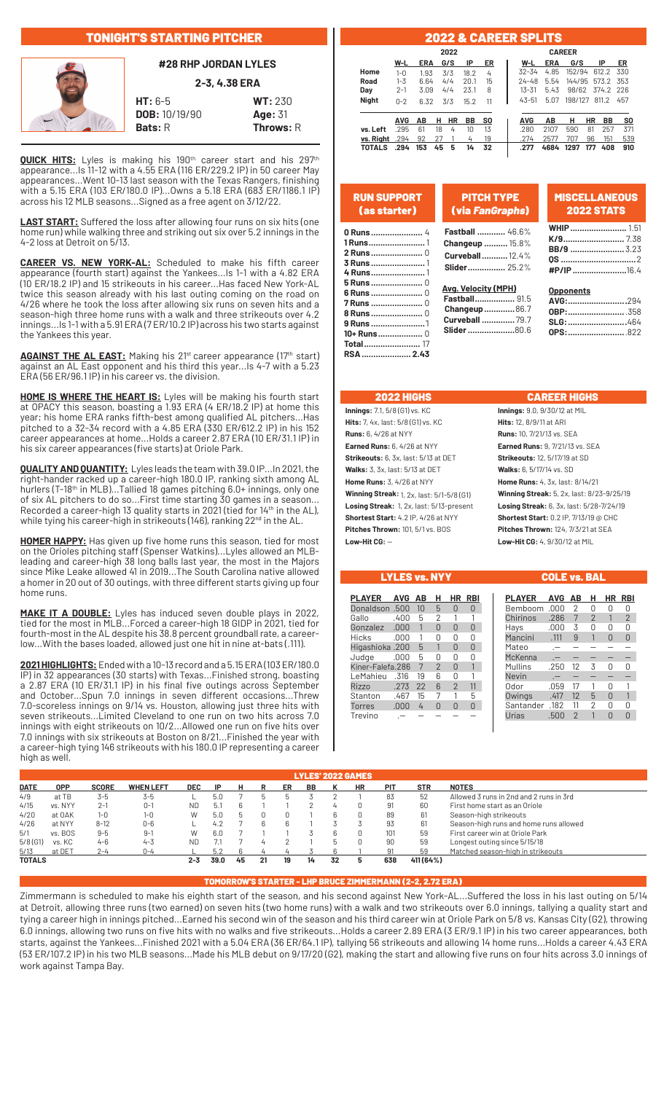# TONIGHT'S STARTING PITCHER



**#28 RHP JORDAN LYLES**

**2-3, 4.38 ERA**

**HT:** 6-5 **WT:** 230 **DOB:** 10/19/90 **Age:** 31 **Bats: R** Throws: R

**QUICK HITS:** Lyles is making his 190<sup>th</sup> career start and his 297<sup>th</sup> appearance...Is 11-12 with a 4.55 ERA (116 ER/229.2 IP) in 50 career May appearances...Went 10-13 last season with the Texas Rangers, finishing with a 5.15 ERA (103 ER/180.0 IP)...Owns a 5.18 ERA (683 ER/1186.1 IP) across his 12 MLB seasons...Signed as a free agent on 3/12/22.

**LAST START:** Suffered the loss after allowing four runs on six hits (one home run) while walking three and striking out six over 5.2 innings in the 4-2 loss at Detroit on 5/13.

**CAREER VS. NEW YORK-AL:** Scheduled to make his fifth career appearance (fourth start) against the Yankees...Is 1-1 with a 4.82 ERA (10 ER/18.2 IP) and 15 strikeouts in his career...Has faced New York-AL twice this season already with his last outing coming on the road on 4/26 where he took the loss after allowing six runs on seven hits and a season-high three home runs with a walk and three strikeouts over 4.2 innings...Is 1-1 with a 5.91 ERA (7 ER/10.2 IP) across his two starts against the Yankees this year.

**AGAINST THE AL EAST:** Making his 21<sup>st</sup> career appearance (17<sup>th</sup> start) against an AL East opponent and his third this year...Is 4-7 with a 5.23 ERA (56 ER/96.1 IP) in his career vs. the division.

**HOME IS WHERE THE HEART IS:** Lyles will be making his fourth start at OPACY this season, boasting a 1.93 ERA (4 ER/18.2 IP) at home this year; his home ERA ranks fifth-best among qualified AL pitchers...Has pitched to a 32-34 record with a 4.85 ERA (330 ER/612.2 IP) in his 152 career appearances at home...Holds a career 2.87 ERA (10 ER/31.1 IP) in his six career appearances (five starts) at Oriole Park.

**QUALITY AND QUANTITY:** Lyles leads the team with 39.0 IP...In 2021, the right-hander racked up a career-high 180.0 IP, ranking sixth among AL hurlers (T-18th in MLB)...Tallied 18 games pitching 6.0+ innings, only one of six AL pitchers to do so...First time starting 30 games in a season... Recorded a career-high 13 quality starts in 2021 (tied for 14<sup>th</sup> in the AL), while tying his career-high in strikeouts (146), ranking  $22^{\text{nd}}$  in the AL.

**HOMER HAPPY:** Has given up five home runs this season, tied for most on the Orioles pitching staff (Spenser Watkins)...Lyles allowed an MLBleading and career-high 38 long balls last year, the most in the Majors since Mike Leake allowed 41 in 2019...The South Carolina native allowed a homer in 20 out of 30 outings, with three different starts giving up four home runs.

**MAKE IT A DOUBLE:** Lyles has induced seven double plays in 2022, tied for the most in MLB...Forced a career-high 18 GIDP in 2021, tied for fourth-most in the AL despite his 38.8 percent groundball rate, a careerlow...With the bases loaded, allowed just one hit in nine at-bats (.111).

**2021 HIGHLIGHTS:**Ended with a 10-13 record and a 5.15 ERA (103 ER/180.0 IP) in 32 appearances (30 starts) with Texas...Finished strong, boasting a 2.87 ERA (10 ER/31.1 IP) in his final five outings across September and October...Spun 7.0 innings in seven different occasions...Threw 7.0-scoreless innings on 9/14 vs. Houston, allowing just three hits with seven strikeouts...Limited Cleveland to one run on two hits across 7.0 innings with eight strikeouts on 10/2...Allowed one run on five hits over 7.0 innings with six strikeouts at Boston on 8/21...Finished the year with a career-high tying 146 strikeouts with his 180.0 IP representing a career high as well.

#### 2022 & CAREER SPLITS **2022 CAREER W-L ERA G/S IP ER W-L ERA G/S IP ER Home** 1-0 1.93 3/3 18.2 4 32-34 4.85 152/94 612.2 330 **Road** 1-3 6.64 4/4 20.1 15 24-48 5.54 144/95 573.2 353 **Day** 2-1 3.09 4/4 23.1 8 13-31 5.43 98/62 374.2 226 **Night** 0-2 6.32 3/3 15.2 11 43-51 5.07 198/127 811.2 457 ł  **AVG AB H HR BB SO AVG AB H HR BB SO vs. Left** .295 61 18 4 10 13 .280 2107 590 81 257 371 **vs. Right** .294 92 27 1 4 19 .274 2577 707 96 151 539 **TORALS 1 153 153 153 153 153 153 153 153 153 163 163 177 164 177 164 177 165 1651 1651 1651 1651 1651 1651 1651 1651 1651 1651 1651 1651 1651 1651 1651 1**

| <b>RUN SUPPORT</b> | <b>PITCH TYPE</b>                             | <b>MISCELLANEOUS</b> |
|--------------------|-----------------------------------------------|----------------------|
| (as starter)       | (via FanGraphs)                               | <b>2022 STATS</b>    |
|                    | <b>Fastball </b> 46.6%                        | <b>WHIP</b> 1.51     |
|                    | <b>Changeup </b> 15.8%                        | <b>K/9</b> 7.38      |
|                    | Curveball 12.4%                               |                      |
|                    | <b>Slider</b> 25.2%                           | #P/IP 16.4           |
|                    | <b>Avg. Velocity (MPH)</b>                    | <b>Opponents</b>     |
| <b>7 Runs </b> 0   | <b>Fastball</b> 91.5                          | AVG:294              |
|                    | <b>Changeup86.7</b><br><b>Curveball  79.7</b> | SLG: 464             |
| <b>9 Runs</b> 1    | <b>Slider</b> 80.6                            | OPS:822              |
|                    |                                               |                      |
|                    |                                               |                      |

| <b>Innings:</b> 7.1, 5/8 (G1) vs. KC               |
|----------------------------------------------------|
| <b>Hits:</b> 7, 4x, last: 5/8 (G1) vs. KC          |
| <b>Runs:</b> 6, 4/26 at NYY                        |
| <b>Earned Runs: 6, 4/26 at NYY</b>                 |
| Strikeouts: 6, 3x, last: 5/13 at DET               |
| <b>Walks:</b> $3.3x$ . last: $5/13$ at DET         |
| <b>Home Runs:</b> 3, 4/26 at NYY                   |
| <b>Winning Streak:</b> 1, 2x, last: $5/1-5/8$ (G1) |
| Losing Streak: 1, 2x, last: 5/13-present           |
| <b>Shortest Start:</b> 4.2 IP, 4/26 at NYY         |
| <b>Pitches Thrown: 101, 5/1 vs. BOS</b>            |
| $L$ ow-Hit CG: $-$                                 |

### 2022 HIGHS CAREER HIGHS

**Innings:** 9.0, 9/30/12 at MIL **Hits:** 12, 8/9/11 at ARI **Runs:** 10, 7/21/13 vs. SEA **Earned Runs:** 9, 7/21/13 vs. SEA **Strikeouts:** 12, 5/17/19 at SD **Walks:** 6, 5/17/14 vs. SD **Home Runs:** 4, 3x, last: 8/14/21 **Winning Streak:** 5, 2x, last: 8/23-9/25/19 **Losing Streak:** 6, 3x, last: 5/28-7/24/19 **Shortest Start: 0.2 IP, 7/13/19 @ CHC Pitches Thrown: 124, 7/3/21 at SEA Low-Hit CG:** — **Low-Hit CG:** 4, 9/30/12 at MIL

LYLES vs. NYY COLE vs. BAL

| PLAYER           | <b>AVG</b> | AΒ             | н             | HR | RBI |
|------------------|------------|----------------|---------------|----|-----|
| Donaldson .500   |            | 1 <sub>0</sub> | 5             | N  |     |
| Gallo            | .400       | 5              | 2             |    |     |
| Gonzalez         | .000       |                | ⋂             | 0  | n   |
| <b>Hicks</b>     | .000       |                | n             |    | 0   |
| Higashioka .200  |            | 5              |               | N  |     |
| Judge            | .000       | 5              | ⋂             | N  |     |
| Kiner-Falefa.286 |            | 7              | $\mathcal{P}$ | n  |     |
| LeMahieu         | .316       | 19             | հ             | Π  |     |
| Rizzo            | .273       | 22             | 6             | 2  | 11  |
| Stanton          | .467       | 15             | 7             |    | 5   |
| Torres           | .000       | 4              |               |    |     |
| Trevino          |            |                |               |    |     |

| <b>PLAYER</b> | AVG  | AВ             | н              | ΗR       | RBI            |
|---------------|------|----------------|----------------|----------|----------------|
| Bemboom       | .000 | $\overline{2}$ | 0              | Ω        | 0              |
| Chirinos      | .286 | 7              | $\overline{2}$ |          | $\overline{2}$ |
| Hays          | .000 | 3              | Ŋ              | 0        | 0              |
| Mancini       | .111 | 9              | 1              | U        | U              |
| Mateo         | -    |                |                |          |                |
| McKenna       | .-   |                |                |          |                |
| Mullins       | .250 | 12             | 3              | Λ        | N              |
| Nevin         | .-   |                |                |          |                |
| Odor          | .059 | 17             |                | N        |                |
| Owings        | .417 | 12             | 5              | $\Omega$ | 1              |
| Santander     | .182 | 11             | 2              | N        | 0              |
| Urías         | .500 | $\mathfrak{p}$ |                | ⋂        | ∩              |

| <b>LYLES' 2022 GAMES</b> |            |              |                  |            |      |    |    |    |    |    |           |     |            |                                         |
|--------------------------|------------|--------------|------------------|------------|------|----|----|----|----|----|-----------|-----|------------|-----------------------------------------|
| <b>DATE</b>              | <b>OPP</b> | <b>SCORE</b> | <b>WHEN LEFT</b> | <b>DEC</b> | ΙP   | н  |    | ER | BB |    | <b>HR</b> | PIT | <b>STR</b> | <b>NOTES</b>                            |
| 4/9                      | at TB      | 3-5          | $3 - 5$          |            | 5.0  |    |    |    |    |    |           | 83  | 52         | Allowed 3 runs in 2nd and 2 runs in 3rd |
| 4/15                     | vs. NYY    | $2 - 1$      | $0 - 1$          | ND         | b.1  | 6  |    |    |    | 4  | 0         | 91  | 60         | First home start as an Oriole           |
| 4/20                     | at OAK     | 1-0          | $1 - 0$          | W          | 5.0  |    |    |    |    | ĥ  |           | 89  | 61         | Season-high strikeouts                  |
| 4/26                     | at NYY     | $8 - 12$     | $0 - 6$          |            | 4.2  |    |    |    |    |    |           | 93  | 61         | Season-high runs and home runs allowed  |
| 5/1                      | vs. BOS    | $9 - 5$      | 9-1              | W          | 6.0  |    |    |    |    | 6  | 0         | 101 | 59         | First career win at Oriole Park         |
| $5/8$ (G1)               | vs. KC     | $4 - 6$      | $4 - 3$          | ND         |      |    |    |    |    | b  | 0         | 90  | 59         | Longest outing since 5/15/18            |
| 5/13                     | at DET     | $2 - 4$      | 0-4              |            |      |    |    |    |    |    |           | .91 | 59         | Matched season-high in strikeouts       |
| <b>TOTALS</b>            |            |              |                  | 2-3        | 39.0 | 45 | 21 | 19 | 14 | 32 |           | 638 | 411 (64%)  |                                         |

### TOMORROW'S STARTER - LHP BRUCE ZIMMERMANN (2-2, 2.72 ERA)

Zimmermann is scheduled to make his eighth start of the season, and his second against New York-AL...Suffered the loss in his last outing on 5/14 at Detroit, allowing three runs (two earned) on seven hits (two home runs) with a walk and two strikeouts over 6.0 innings, tallying a quality start and tying a career high in innings pitched...Earned his second win of the season and his third career win at Oriole Park on 5/8 vs. Kansas City (G2), throwing 6.0 innings, allowing two runs on five hits with no walks and five strikeouts...Holds a career 2.89 ERA (3 ER/9.1 IP) in his two career appearances, both starts, against the Yankees...Finished 2021 with a 5.04 ERA (36 ER/64.1 IP), tallying 56 strikeouts and allowing 14 home runs...Holds a career 4.43 ERA (53 ER/107.2 IP) in his two MLB seasons...Made his MLB debut on 9/17/20 (G2), making the start and allowing five runs on four hits across 3.0 innings of work against Tampa Bay.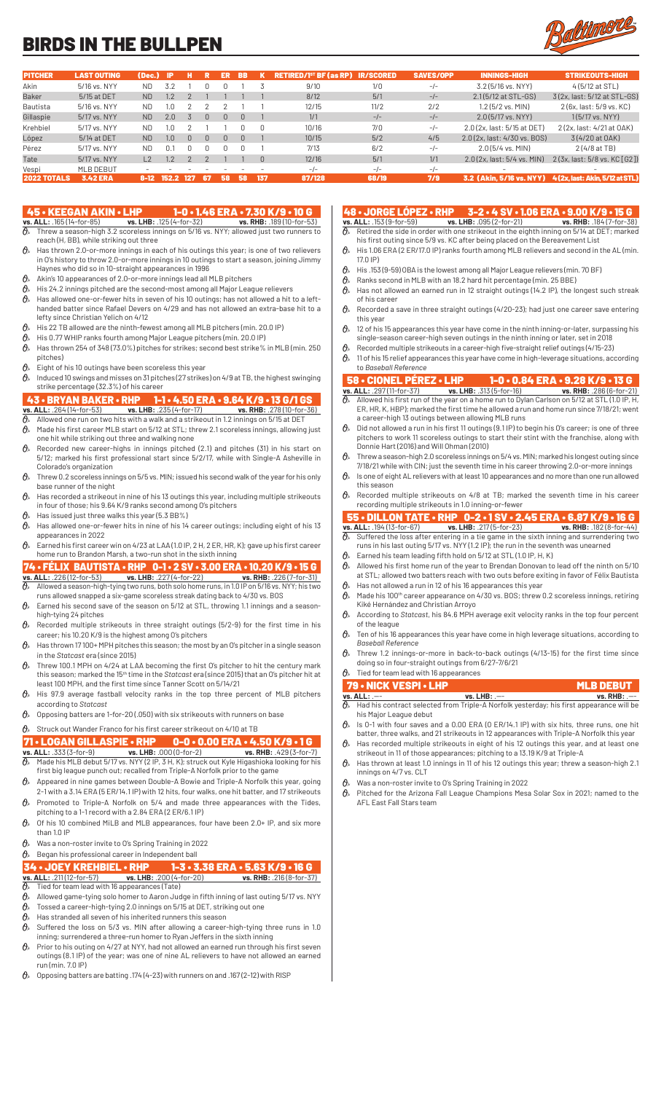# BIRDS IN THE BULLPEN



| <b>PITCHER</b>     | <b>LAST OUTING</b> | (Dec.)        | - IP    |              |     | ER | <b>BB</b> |     | <b>RETIRED/1<sup>st</sup> BF (as RP)</b> | <b>IR/SCORED</b> | <b>SAVES/OPP</b> | <b>INNINGS-HIGH</b>          | <b>STRIKEOUTS-HIGH</b>          |
|--------------------|--------------------|---------------|---------|--------------|-----|----|-----------|-----|------------------------------------------|------------------|------------------|------------------------------|---------------------------------|
| Akin               | 5/16 vs. NYY       | ND            | 3.2     |              |     |    |           |     | 9/10                                     | 1/0              | $-/-$            | 3.2 (5/16 vs. NYY)           | 4(5/12 at STL)                  |
| <b>Baker</b>       | 5/15 at DET        | ND.           | $1.2\,$ |              |     |    |           |     | 8/12                                     | 5/1              | $-/-$            | 2.1(5/12 at STL-GS)          | 3(2x, last: 5/12 at STL-GS)     |
| Bautista           | 5/16 vs. NYY       | ND            | I.O     |              |     |    |           |     | 12/15                                    | 11/2             | 2/2              | $1.2$ (5/2 vs. MIN)          | 2 (6x, last: 5/9 vs, KC)        |
| Gillaspie          | 5/17 vs. NYY       | ND.           | 2.0     |              | U.  |    | $\Box$    |     | 1/1                                      | $-/-$            | $-/-$            | $2.0(5/17$ vs. NYY)          | $1(5/17 \text{ vs. } NYY)$      |
| Krehbiel           | 5/17 vs. NYY       | ND.           | 1.0     |              |     |    |           |     | 10/16                                    | 7/0              | $-/-$            | 2.0 (2x, last: 5/15 at DET)  | 2 (2x, last: 4/21 at OAK)       |
| López              | 5/14 at DET        | ND.           | 1.0     | <sup>n</sup> | U.  |    |           |     | 10/15                                    | 5/2              | 4/5              | 2.0 (2x, last: 4/30 vs. BOS) | 3(4/20 at OAK)                  |
| Pérez              | 5/17 vs. NYY       | ND.           | 0.1     |              |     |    |           |     | 7/13                                     | 6/2              | $-/-$            | $2.0(5/4$ vs. MIN)           | 2 (4/8 at TB)                   |
| Tate               | 5/17 vs. NYY       | $\mathsf{L}2$ | 1.2     |              |     |    |           |     | 12/16                                    | 5/1              | 1/1              | 2.0(2x, last: 5/4 vs. MIN)   | 2(3x, last: 5/8 vs. KC [G2])    |
| Vespi              | MLB DEBUT          |               |         |              |     |    |           |     | $-/-$                                    | $-1$             | $-/-$            | $\overline{\phantom{a}}$     | $\sim$                          |
| <b>2022 TOTALS</b> | <b>3.42 ERA</b>    | 8-12          | 152.2   | 127          | -67 | 58 | 58        | 137 | 87/128                                   | 68/19            | 7/9              | 3.2 (Akin. 5/16 vs. NYY)     | 4 (2x. last: Akin. 5/12 at STL) |

- 45 KEEGAN AKIN LHP 1-0 1.46 ERA 7.30 K/9 10 G<br>
<u>vs. ALL: .165 (14-for-85) vs. LHB: .125 (4-for-32)</u> vs. RHB: .189 (10-for-53)<br>  $\theta$ , Threw a season-high 3.2 seorglass innings on 5/19 us. NW 188. 189 (10-for-53) **vs. ALL:** .165 (14-for-85) **vs. LHB:** .125 (4-for-32) **vs. RHB:** .189 (10-for-53)  $\partial\!\!\!/_s$  Threw a season-high 3.2 scoreless innings on 5/16 vs. NYY; allowed just two runners to reach (H, BB), while striking out three
- $\theta$ <sup>\*</sup> Has thrown 2.0-or-more innings in each of his outings this year; is one of two relievers in O's history to throw 2.0-or-more innings in 10 outings to start a season, joining Jimmy Haynes who did so in 10-straight appearances in 1996
- $\mathcal{O}_{\mathcal{P}}$  Akin's 10 appearances of 2.0-or-more innings lead all MLB pitchers
- $\theta$  His 24.2 innings pitched are the second-most among all Major League relievers
- $\theta$  Has allowed one-or-fewer hits in seven of his 10 outings; has not allowed a hit to a lefthanded batter since Rafael Devers on 4/29 and has not allowed an extra-base hit to a lefty since Christian Yelich on 4/12
- $\theta$  His 22 TB allowed are the ninth-fewest among all MLB pitchers (min. 20.0 IP)
- His 0.77 WHIP ranks fourth among Major League pitchers (min. 20.0 IP)  $\theta$  Has thrown 254 of 348 (73.0%) pitches for strikes; second best strike% in MLB (min. 250
- pitches)  $\theta$  Eight of his 10 outings have been scoreless this year
- $\theta$  Induced 10 swings and misses on 31 pitches (27 strikes) on 4/9 at TB, the highest swinging strike percentage (32.3%) of his career

### 43 • BRYAN BAKER • RHP 1-1 • 4.50 ERA • 9.64 K/9 • 13 G/1 GS

- **vs. ALL:** .264 (14-for-53) **vs. LHB:** .235 (4-for-17) **vs. RHB:** .278 (10-for-36)  $\partial\!\!\!/_\!\!$  Allowed one run on two hits with a walk and a strikeout in 1.2 innings on 5/15 at DET
- $\theta$  Made his first career MLB start on 5/12 at STL; threw 2.1 scoreless innings, allowing just
- one hit while striking out three and walking none  $\theta$  Recorded new career-highs in innings pitched (2.1) and pitches (31) in his start on 5/12; marked his first professional start since 5/2/17, while with Single-A Asheville in Colorado's organization
- $\theta$  Threw 0.2 scoreless innings on 5/5 vs. MIN; issued his second walk of the year for his only base runner of the night
- $\theta$  Has recorded a strikeout in nine of his 13 outings this year, including multiple strikeouts in four of those; his 9.64 K/9 ranks second among O's pitchers
- $\theta$ » Has issued just three walks this year (5.3 BB%)
- $\theta_{\ell}$  Has allowed one-or-fewer hits in nine of his 14 career outings; including eight of his 13 appearances in 2022
- $\theta$ <sup>\*</sup> Earned his first career win on 4/23 at LAA (1.0 IP, 2 H, 2 ER, HR, K); gave up his first career home run to Brandon Marsh, a two-run shot in the sixth inning

# 74 • FÉLIX BAUTISTA • RHP  $0-1 \cdot 2$  SV • 3.00 ERA • 10.20 K/9 • 15 G vs. ALL: .226 (12-for-53) vs. LHB: .227 (4-for-22) vs. RHB: .226 (7-for-31) **vs. ALL:** .226 (12-for-53) **vs. LHB:** .227 (4-for-22) **vs. RHB:** .226 (7-for-31)

- $\partial\!\!\!/_s\!\!\!/$  Allowed a season-high-tying two runs, both solo home runs, in 1.0 IP on 5/16 vs. NYY; his two runs allowed snapped a six-game scoreless streak dating back to 4/30 vs. BOS
- $\theta$ <sup>s</sup> Earned his second save of the season on 5/12 at STL, throwing 1.1 innings and a seasonhigh-tying 24 pitches
- $\mathcal{O}_{\!s}\;$  Recorded multiple strikeouts in three straight outings (5/2-9) for the first time in his career; his 10.20 K/9 is the highest among O's pitchers
- $\theta$  Has thrown 17 100+ MPH pitches this season; the most by an O's pitcher in a single season in the *Statcast* era (since 2015)
- $\partial\!\!\!/_s\!\!\!~$  Threw 100.1 MPH on 4/24 at LAA becoming the first O's pitcher to hit the century mark this season; marked the 15th time in the *Statcast* era (since 2015) that an O's pitcher hit at least 100 MPH, and the first time since Tanner Scott on 5/14/21
- $\theta$ » His 97.9 average fastball velocity ranks in the top three percent of MLB pitchers according to *Statcast*
- $\theta$  Opposing batters are 1-for-20 (.050) with six strikeouts with runners on base

### $\mathcal{O}_{\mathcal{P}}$  Struck out Wander Franco for his first career strikeout on 4/10 at TB

# 71 • LOGAN GILLASPIE • RHP 0-0 • 0.00 ERA • 4.50 K/9 • 1 G

- **vs. ALL:** .333 (3-for-9) **vs. LHB:** .000 (0-for-2) **vs. RHB:** .429 (3-for-7)  $\partial_{\!s}\;$  Made his MLB debut 5/17 vs. NYY (2 IP, 3 H, K); struck out Kyle Higashioka looking for his first big league punch out; recalled from Triple-A Norfolk prior to the game
- $\theta$  Appeared in nine games between Double-A Bowie and Triple-A Norfolk this year, going 2-1 with a 3.14 ERA (5 ER/14.1 IP) with 12 hits, four walks, one hit batter, and 17 strikeouts
- $\theta$  Promoted to Triple-A Norfolk on 5/4 and made three appearances with the Tides, pitching to a 1-1 record with a 2.84 ERA (2 ER/6.1 IP)
- $\theta$ <sup>*s*</sup> Of his 10 combined MiLB and MLB appearances, four have been 2.0+ IP, and six more than 1.0 IP
- $\theta$  Was a non-roster invite to O's Spring Training in 2022
- $\theta$ » Began his professional career in Independent ball
- 34 JOEY KREHBIEL RHP 1-3 3.38 ERA 5.63 K/9 16 G<br>vs. ALL: .211(12-for-57) vs. LHB: .200 (4-for-20) vs. RHB: .216 (8-for-37)<br> $\theta$ , Tied for team lead with 16 annearances (Tata)
- **vs. LHB:**  $.200 (4$ -for-20)
- $\vartheta$ » Tied for team lead with 16 appearances (Tate)
- $\partial\!\!\!/_\!\!$  Allowed game-tying solo homer to Aaron Judge in fifth inning of last outing 5/17 vs. NYY  $\theta$  Tossed a career-high-tying 2.0 innings on 5/15 at DET, striking out one
- $\theta$ » Has stranded all seven of his inherited runners this season
- $\partial\!\!\!/_s\;$  Suffered the loss on 5/3 vs. MIN after allowing a career-high-tying three runs in 1.0 inning; surrendered a three-run homer to Ryan Jeffers in the sixth inning
- $\theta$  Prior to his outing on 4/27 at NYY, had not allowed an earned run through his first seven outings (8.1 IP) of the year; was one of nine AL relievers to have not allowed an earned run (min. 7.0 IP)
- $\theta$  Opposing batters are batting .174 (4-23) with runners on and .167 (2-12) with RISP

- 48 JORGE LÓPEZ RHP 3-2 4 SV 1.06 ERA 9.00 K/9 15 G<br>vs. ALL: .153 (9-for-59) vs. LHB: .095 (2-for-21) vs. RHB: .184 (7-for-38)<br> $\theta$ , Retired the side in order with one strikeout in the side the limit. **vs. ALL:** .153 (9-for-59) **vs. LHB:** .095 (2-for-21) **vs. RHB:** .184 (7-for-38)  $\vartheta$  Retired the side in order with one strikeout in the eighth inning on 5/14 at DET; marked his first outing since 5/9 vs. KC after being placed on the Bereavement List
- $\theta$ <sup>\*</sup> His 1.06 ERA (2 ER/17.0 IP) ranks fourth among MLB relievers and second in the AL (min. 17.0 IP)
- $\theta$  His .153 (9-59) OBA is the lowest among all Major League relievers (min. 70 BF
- $\mathcal{O}_{\mathbb{A}}$  Ranks second in MLB with an 18.2 hard hit percentage (min. 25 BBE)
- $\theta$ » Has not allowed an earned run in 12 straight outings (14.2 IP), the longest such streak
- of his career  $\theta$  Recorded a save in three straight outings (4/20-23); had just one career save entering this year
- $\theta_*$  12 of his 15 appearances this year have come in the ninth inning-or-later, surpassing his single-season career-high seven outings in the ninth inning or later, set in 2018
- Recorded multiple strikeouts in a career-high five-straight relief outings (4/15-23)
- $\theta$  11 of his 15 relief appearances this year have come in high-leverage situations, according to *Baseball Reference*

# **58 • CIONEL PÉREZ • LHP 1-0 • 0.84 ERA • 9.28 K/9 • 13 G**<br>vs. ALL: 297(11-for-37) vs. LHB: 313 (5-for-16) vs. RHB: 286 (6-for-21)

- **vs. ALL:** .297 (11-for-37) **vs. LHB:** .313 (5-for-16) **vs. RHB:** .286 (6-for-21)  $\partial\!\!\!/_s\!\!\!/$  Allowed his first run of the year on a home run to Dylan Carlson on 5/12 at STL (1.0 IP, H, ER, HR, K, HBP); marked the first time he allowed a run and home run since 7/18/21; went a career-high 13 outings between allowing MLB runs
- $\partial\!\!\!/_s\!\!\!/$  Did not allowed a run in his first 11 outings (9.1 IP) to begin his O's career; is one of three pitchers to work 11 scoreless outings to start their stint with the franchise, along with Donnie Hart (2016) and Will Ohman (2010)
- $\theta_{\scriptscriptstyle{k}}$  Threw a season-high 2.0 scoreless innings on 5/4 vs. MIN; marked his longest outing since 7/18/21 while with CIN; just the seventh time in his career throwing 2.0-or-more in
- $\vartheta_{\!s}\;$  Is one of eight AL relievers with at least 10 appearances and no more than one run allowed this season
- $\theta$ <sup>\*</sup> Recorded multiple strikeouts on 4/8 at TB; marked the seventh time in his career recording multiple strikeouts in 1.0 inning-or-fewer

# 55 • DILLON TATE • RHP 0-2 • 1 SV • 2.45 ERA • 6.87 K/9 • 16 G

- **vs. ALL:** .194 (13-for-67) **vs. LHB:** .217 (5-for-23) **vs. RHB:** .182 (8-for-44)  $\partial\!\!\!/_\!\!$  Suffered the loss after entering in a tie game in the sixth inning and surrendering two
- runs in his last outing 5/17 vs. NYY (1.2 IP); the run in the seventh was unearned  $\theta$  Earned his team leading fifth hold on 5/12 at STL (1.0 IP, H, K)
- $\partial\!\!\!/_s\!\!\!/$  Allowed his first home run of the year to Brendan Donovan to lead off the ninth on 5/10
- at STL; allowed two batters reach with two outs before exiting in favor of Félix Bautista  $\theta$ » Has not allowed a run in 12 of his 16 appearances this year
- $\mathcal{O}_{\!\scriptscriptstyle\beta}$  Made his 100th career appearance on 4/30 vs. BOS; threw 0.2 scoreless innings, retiring Kiké Hernández and Christian Arroyo
- According to *Statcast*, his 84.6 MPH average exit velocity ranks in the top four percent of the league
- $\theta$  Ten of his 16 appearances this year have come in high leverage situations, according to *Baseball Reference*
- $\mathcal{O}_n$  Threw 1.2 innings-or-more in back-to-back outings (4/13-15) for the first time since doing so in four-straight outings from 6/27-7/6/21

## $\theta$ <sup>\*</sup> Tied for team lead with 16 appearances

| <b>79 • NICK VESPI • LHP</b> |                 | <b>MLB DEBUT</b>                                                                                           |
|------------------------------|-----------------|------------------------------------------------------------------------------------------------------------|
| vs. ALL: .---                | $vs.$ LHB: $--$ | $vs.$ RHB: $--$                                                                                            |
|                              |                 | $\partial_{\!s}\!$ Had his contract selected from Triple-A Norfolk yesterday; his first appearance will be |

- his Major League debut  $\theta$ <sup>*s*</sup> Is 0-1 with four saves and a 0.00 ERA (0 ER/14.1 IP) with six hits, three runs, one hit batter, three walks, and 21 strikeouts in 12 appearances with Triple-A Norfolk this year
- $\theta$ <sup>\*</sup> Has recorded multiple strikeouts in eight of his 12 outings this year, and at least one strikeout in 11 of those appearances; pitching to a 13.19 K/9 at Triple-A
- $\theta$  Has thrown at least 1.0 innings in 11 of his 12 outings this year; threw a season-high 2.1 innings on 4/7 vs. CLT
- Was a non-roster invite to O's Spring Training in 2022
- $\partial_{\!\scriptscriptstyle\beta\! s}\;$  Pitched for the Arizona Fall League Champions Mesa Solar Sox in 2021; named to the AFL East Fall Stars team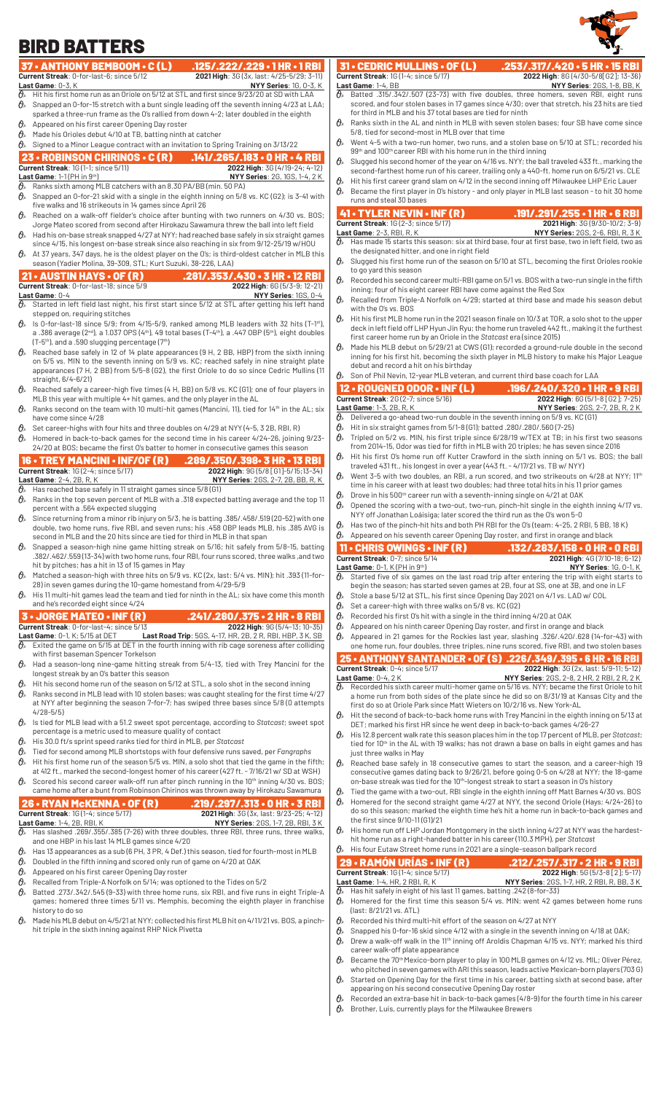#### 37 • ANTHONY BEMBOOM • C (L) .125/.222/.229 • 1 HR • 1 RBI<br>Current Streak: 0-for-last-6; since 5/12 2021 High: 36 (3x, last: 4/25-5/29; 3-11) **Current Streak:** 0-for-last-6; since 5/12 **2021 High:** 3G (3x, last: 4/25-5/29; 3-11)<br> **Last Game:** 0-3, K<br> **G** Hit his first home run as an Oriole on 5/12 at STL and first since 9/23/20 at SD with LAA **Last Game**: 0-3, K **NYY Series**: 1G, 0-3, K Hit his first home run as an Oriole on 5/12 at STL and first since 9/23/20 at SD with LAA  $\theta$  Snapped an 0-for-15 stretch with a bunt single leading off the seventh inning 4/23 at LAA; sparked a three-run frame as the O's rallied from down 4-2; later doubled in the eighth  $\theta$ » Appeared on his first career Opening Day roster  $\theta$  Made his Orioles debut 4/10 at TB, batting ninth at catcher  $\theta$  Signed to a Minor League contract with an invitation to Spring Training on 3/13/22 23 • ROBINSON CHIRINOS • C (R) .141/.265/.183 • 0 HR • 4 RBI **Current Streak**: 1G (1-1; since 5/11) **2022 High**: 3G (4/19-24; 4-12) **Last Game**: 1-1 (PH in 9th) **NYY Series**: 2G, 1GS, 1-4, 2 K  $\mathcal{O}_{\!s}\;$  Ranks sixth among MLB catchers with an 8.30 PA/BB (min. 50 PA)  $\mathcal{O}_{\!\scriptscriptstyle\beta}$  Snapped an 0-for-21 skid with a single in the eighth inning on 5/8 vs. KC (G2); is 3-41 with five walks and 16 strikeouts in 14 games since April 26  $\theta$  Reached on a walk-off fielder's choice after bunting with two runners on  $4/30$  vs. BOS; Jorge Mateo scored from second after Hirokazu Sawamura threw the ball into left field  $\hat{\theta}_*$  Had his on-base streak snapped 4/27 at NYY; had reached base safely in six straight games since 4/15, his longest on-base streak since also reaching in six from 9/12-25/19 w/HOU  $\theta$ <sup>\*</sup> At 37 years, 347 days, he is the oldest player on the O's; is third-oldest catcher in MLB this season (Yadier Molina, 39-309, STL; Kurt Suzuki, 38-226, LAA) 21 • AUSTIN HAYS • OF (R) .281/.353/.430 • 3 HR • 12 RBI **Current Streak**: 0-for-last-18; since 5/9<br> **Last Game**: 0-4<br>  $\hat{O}_8$  Started in left field by: **Last Game**: 0-4 **NYY Series**: 1GS, 0-4 Started in left field last night, his first start since 5/12 at STL after getting his left hand stepped on, requiring stitches  $\partial_{\theta}$  Is 0-for-last-18 since 5/9; from 4/15-5/9, ranked among MLB leaders with 32 hits (T-1 $^{\rm st}$ ), a .386 average (2nd), a 1.037 OPS (4th), 49 total bases (T-4th), a .447 OBP (5th), eight doubles  $(T-5<sup>th</sup>)$ , and a .590 slugging percentage  $(7<sup>th</sup>)$  $\mathcal{O}_{\!\scriptscriptstyle\beta}$  Reached base safely in 12 of 14 plate appearances (9 H, 2 BB, HBP) from the sixth inning on 5/5 vs. MIN to the seventh inning on 5/9 vs. KC; reached safely in nine straight plate appearances (7 H, 2 BB) from 5/5-8 (G2), the first Oriole to do so since Cedric Mullins (11 straight, 6/4-6/21) Reached safely a career-high five times (4 H, BB) on 5/8 vs. KC (G1); one of four players in MLB this year with multiple 4+ hit games, and the only player in the AL  $\theta$  Ranks second on the team with 10 multi-hit games (Mancini, 11), tied for 14<sup>th</sup> in the AL; six have come since 4/28  $\theta$  Set career-highs with four hits and three doubles on 4/29 at NYY (4-5, 3 2B, RBI, R)  $\hat{\theta}_k$  Homered in back-to-back games for the second time in his career 4/24-26, joining 9/23-24/20 at BOS; became the first O's batter to homer in consecutive games this season 16 • TREY MANCINI • INF/OF (R) .289/.350/.398• 3 HR • 13 RBI<br>Current Streak: 16 (2-4; since 5/17) 2022 High: 96 (5/8 [61]-5/15;13-34)<br>Last Game: 2-4, 2B, R, K NYY Series: 26S, 2-7, 2B, BB, R, K<br> $\theta$ , Has reached base safe **Current Streak**: 1G (2-4; since 5/17) **Last Game**: 2-4, 2B, R, K **NYY Series**: 2GS, 2-7, 2B, BB, R, K Has reached base safely in 11 straight games since 5/8 (G1)  $\theta$  Ranks in the top seven percent of MLB with a .318 expected batting average and the top 11 percent with a .564 expected slugging  $\mathcal{O}_{\!\scriptscriptstyle\beta}$  Since returning from a minor rib injury on 5/3, he is batting .385/.458/.519 (20-52) with one double, two home runs, five RBI, and seven runs; his .458 OBP leads MLB, his .385 AVG is second in MLB and the 20 hits since are tied for third in MLB in that span  $\theta$  Snapped a season-high nine game hitting streak on 5/16; hit safely from 5/8-15, batting .382/.462/.559 (13-34) with two home runs, four RBI, four runs scored, three walks ,and two hit by pitches; has a hit in 13 of 15 games in May  $\theta$  Matched a season-high with three hits on 5/9 vs. KC (2x, last: 5/4 vs. MIN); hit .393 (11-for-28) in seven games during the 10-game homestand from 4/29-5/9  $\hat{\theta}_*$  His 11 multi-hit games lead the team and tied for ninth in the AL; six have come this month and he's recorded eight since 4/24 3 • JORGE MATEO • INF (R) .241/.280/.375 • 2 HR • 8 RBI<br>Current Streak: 0-for-last-4; since 5/13 .2022 High: 96 (5/4-13; 10-35) **Current Streak**: 0-for-last-4; since 5/13 **Last Game**: 0-1, K; 5/15 at DET **Last Road Trip**: 5GS, 4-17, HR, 2B, 2 R, RBI, HBP, 3 K, SB  $\partial\!\!\!/_* \;$  Exited the game on 5/15 at DET in the fourth inning with rib cage soreness after colliding with first baseman Spencer Torkelson  $\mathcal{O}_{\!\scriptscriptstyle\beta\!\scriptscriptstyle\beta}$  Had a season-long nine-game hitting streak from 5/4-13, tied with Trey Mancini for the longest streak by an O's batter this season  $\theta$  Hit his second home run of the season on 5/12 at STL, a solo shot in the second inning  $\partial_{\!s}\;$  Ranks second in MLB lead with 10 stolen bases; was caught stealing for the first time 4/27 at NYY after beginning the season 7-for-7; has swiped three bases since 5/8 (0 attempts 4/28-5/5)  $\theta_{i}$  Is tied for MLB lead with a 51.2 sweet spot percentage, according to *Statcast*; sweet spot percentage is a metric used to measure quality of contact His 30.0 ft/s sprint speed ranks tied for third in MLB, per *Statcast* Tied for second among MLB shortstops with four defensive runs saved, per *Fangraphs*  $\hat{\theta}_s$ . Hit his first home run of the season 5/5 vs. MIN, a solo shot that tied the game in the fifth; at 412 ft., marked the second-longest homer of his career (427 ft. - 7/16/21 w/ SD at WSH)  $\theta$  Scored his second career walk-off run after pinch running in the 10<sup>th</sup> inning 4/30 vs. BOS; came home after a bunt from Robinson Chirinos was thrown away by Hirokazu Sawamura 26 • RYAN McKENNA • OF (R) .219/.297/.313 • 0 HR • 3 RBI **Current Streak**: 1G (1-4; since 5/17) **2021 High**: 3G (3x, last: 9/23-25; 4-12) **Last Game**: 1-4, 2B, RBI, K **NYY Series**: 2GS, 1-7, 2B, RBI, 3 K  $\overline{\Theta}_{\!\scriptscriptstyle{N}}$  Has slashed .269/.355/.385 (7-26) with three doubles, three RBI, three runs, three walks and one HBP in his last 14 MLB games since 4/20  $\hat{\theta}_*$  Has 13 appearances as a sub (6 PH, 3 PR, 4 Def.) this season, tied for fourth-most in MLB  $\mathcal{O}_{\mathcal{P}}$  Doubled in the fifth inning and scored only run of game on 4/20 at OAK  $\hat{\theta}_*$  Appeared on his first career Opening Day roster  $\theta$  Recalled from Triple-A Norfolk on 5/14; was optioned to the Tides on 5/2  $\theta$  Batted .273/.342/.545 (9-33) with three home runs, six RBI, and five runs in eight Triple-A games; homered three times 5/11 vs. Memphis, becoming the eighth player in franchise history to do so  $\theta_{k}$  Made his MLB debut on 4/5/21 at NYY; collected his first MLB hit on 4/11/21 vs. BOS, a pinchhit triple in the sixth inning against RHP Nick Pivetta 31 • CEDRIC MULLINS • OF (L) .253/.317/.420 • 5 HR • 15 RBI<br>Current Streak: 16 (1-4; since 5/17) 2022 High: 86 (4/30-5/8 62); 13-36) **2022 High:** 8G (4/30-5/8[G2]; 13-36)<br>**NYY Series:** 2GS, 1-8, BB, K<br>three homers, seven RBI, eight runs **Last Game**: 1-4, BB **NYY Series**: 2GS, 1-8, BB, K  $\partial_{\!s}\;$  Batted .315/.342/.507 (23–73) with five doubles, three homers, seven RBI, eight runs scored, and four stolen bases in 17 games since 4/30; over that stretch, his 23 hits are tied for third in MLB and his 37 total bases are tied for ninth Ranks sixth in the AL and ninth in MLB with seven stolen bases; four SB have come since 5/8, tied for second-most in MLB over that time  $\mathcal{O}_{s}$  Went 4-5 with a two-run homer, two runs, and a stolen base on 5/10 at STL; recorded his 99<sup>th</sup> and 100<sup>th</sup> career RBI with his home run in the third inning  $\theta$  Slugged his second homer of the year on 4/16 vs. NYY; the ball traveled 433 ft., marking the second-farthest home run of his career, trailing only a 440-ft. home run on 6/5/21 vs. CLE  $\theta$ <sup>\*</sup> Hit his first career grand slam on 4/12 in the second inning off Milwaukee LHP Eric Lauer  $\mathcal{O}_{\!\scriptscriptstyle\beta}{}$  Became the first player in O's history - and only player in MLB last season - to hit 30 home runs and steal 30 bases 41 • TYLER NEVIN • INF (R) .191/.291/.255 • 1 HR • 6 RBI **Current Streak**: 1G (2-3; since 5/17) **2021 High**: 3G (9/30-10/2; 3-9) **Last Game**: 2-3, RBI, R, K<br> **D NYY Series:** 2GS, 2-6, RBI, R, 3 K<br>  $\overline{O}_8$  Has made 15 starts this season: six at third has four at first has a function of the Community of RBI, R, 3 K Has made 15 starts this season: six at third base, four at first base, two in left field, two as the designated hitter, and one in right field  $\theta$  Slugged his first home run of the season on 5/10 at STL, becoming the first Orioles rookie to go yard this season  $\theta$  Recorded his second career multi-RBI game on 5/1 vs. BOS with a two-run single in the fifth inning; four of his eight career RBI have come against the Red Sox  $\hat{\theta}_*$  Recalled from Triple-A Norfolk on 4/29; started at third base and made his season debut with the O's vs. BOS  $\theta$ <sup>\*</sup> Hit his first MLB home run in the 2021 season finale on 10/3 at TOR, a solo shot to the upper deck in left field off LHP Hyun Jin Ryu; the home run traveled 442 ft., making it the furthest first career home run by an Oriole in the *Statcast* era (since 2015)  $\theta$  Made his MLB debut on 5/29/21 at CWS (G1); recorded a ground-rule double in the second inning for his first hit, becoming the sixth player in MLB history to make his Major League debut and record a hit on his birthday  $\theta$  Son of Phil Nevin, 12-year MLB veteran, and current third base coach for LAA 12 • ROUGNED ODOR • INF (L) .196/.240/.320 • 1 HR • 9 RBI **Current Streak**: 2G (2-7; since 5/16) **2022 High**: 6G (5/1-8 [G2]; 7-25) **Last Game**: 1-3, 2B, R, K **Now Represe NYY Series**: 2GS, 2-7, 2B, R, 2 K **Last Game**: 1-3, 2B, R, K<br> $\overline{\theta}_*$  Delivered a go-ahear Delivered a go-ahead two-run double in the seventh inning on 5/9 vs. KC (G1)  $\theta_{\ast}$  Hit in six straight games from 5/1-8 (G1); batted .280/.280/.560 (7-25)  $\theta$ <sup>\*</sup> Tripled on 5/2 vs. MIN, his first triple since 6/28/19 w/TEX at TB; in his first two seasons from 2014-15, Odor was tied for fifth in MLB with 20 triples; he has seven since 2016  $\theta_{\rm k}$  Hit his first O's home run off Kutter Crawford in the sixth inning on 5/1 vs. BOS; the ball traveled 431 ft., his longest in over a year (443 ft. - 4/17/21 vs. TB w/ NYY)  $\mathcal{O}_{\!\!s}$  . Went 3-5 with two doubles, an RBI, a run scored, and two strikeouts on 4/28 at NYY; 11th time in his career with at least two doubles; had three total hits in his 11 prior games  $\theta$  Drove in his 500<sup>th</sup> career run with a seventh-inning single on 4/21 at OAK  $\mathcal{O}_{\!\!s}$  Opened the scoring with a two-out, two-run, pinch-hit single in the eighth inning 4/17 vs. NYY off Jonathan Loáisiga; later scored the third run as the O's won 5-0  $\theta$  Has two of the pinch-hit hits and both PH RBI for the O's (team: 4-25, 2 RBI, 5 BB, 18 K)  $\vartheta_{\!s}\!$  Appeared on his seventh career Opening Day roster, and first in orange and black 11 • CHRIS OWINGS • INF (R) .132/.283/.158 • 0 HR • 0 RBI **Current Streak**: 0-7; since 5/14 **2021 High**: 4G (7/10-18; 6-12) Last Game: 0-1, K (PH in 9<sup>th</sup>)<br>  $\overline{Q}_b$  Started five of six games on the last road trip after entering the trip with eight starts to Started five of six games on the last road trip after entering the trip with eight starts to begin the season; has started seven games at 2B, four at SS, one at 3B, and one in LF  $\theta_{\rm s}$  Stole a base 5/12 at STL, his first since Opening Day 2021 on 4/1 vs. LAD w/ COL  $\mathcal{O}_s$  Set a career-high with three walks on 5/8 vs. KC (G2)<br> $\mathcal{O}_s$  Recorded his first O's hit with a single in the third inn Recorded his first O's hit with a single in the third inning 4/20 at OAK  $\theta$  Appeared on his ninth career Opening Day roster, and first in orange and black  $\theta$  Appeared in 21 games for the Rockies last year, slashing .326/.420/.628 (14-for-43) with one home run, four doubles, three triples, nine runs scored, five RBI, and two stolen bases **25 • ANTHONY SANTANDER • OF (S) .226/.349/.395 • 6 HR • 16 RBI**<br>Current Streak: 0-4; since 5/17<br>**2022 High: 36 (2x, last: 5/9-11; 5-12) Current Streak**: 0-4; since 5/17 **2022 High**: 3G (2x, last: 5/9-11; 5-12)<br>**Also Streame:** 0-4, 2 K **2022 High**: **2022 High:** 2GS, 2-8, 2 HR, 2 RBI, 2 R, 2 K **Last Game**: 0-4, 2 K<br> **A** Recorded his sixth career multi-homer game on 5/16 vs. NYY: became the first Oriole to hit  $\partial\!\!\!/_\!\!_\lambda$  Recorded his sixth career multi-homer game on 5/16 vs. NYY; became the first Oriole to hit a home run from both sides of the plate since he did so on 8/31/19 at Kansas City and the first do so at Oriole Park since Matt Wieters on 10/2/16 vs. New York-AL  $\theta_{k}$  Hit the second of back-to-back home runs with Trey Mancini in the eighth inning on 5/13 at DET; marked his first HR since he went deep in back-to-back games 4/26-27  $\theta$ <sup> $_{s}$ </sup> His 12.8 percent walk rate this season places him in the top 17 percent of MLB, per *Statcast*; tied for 10<sup>th</sup> in the AL with 19 walks; has not drawn a base on balls in eight games and has just three walks in May  $\partial\!\!\!/_s\!\!\!>$  Reached base safely in 18 consecutive games to start the season, and a career-high 19 consecutive games dating back to 9/26/21, before going 0-5 on 4/28 at NYY; the 18-game on-base streak was tied for the 10<sup>th</sup>-longest streak to start a season in O's history  $\theta_{\text{\tiny a}}$  Tied the game with a two-out, RBI single in the eighth inning off Matt Barnes 4/30 vs. BOS  $\theta$ <sup>*s*</sup> Homered for the second straight game 4/27 at NYY, the second Oriole (Hays; 4/24-26) to do so this season; marked the eighth time he's hit a home run in back-to-back games and the first since 9/10-11 (G1)/21  $\theta$  His home run off LHP Jordan Montgomery in the sixth inning 4/27 at NYY was the hardesthit home run as a right-handed batter in his career (110.3 MPH), per *Statcast*  $\theta$  His four Eutaw Street home runs in 2021 are a single-season ballpark record 29 • RAMÓN URÍAS • INF (R) .212/.257/.317 • 2 HR • 9 RBI **Current Streak**: 1G (1-4; since 5/17) **2022 High**: 5G (5/3-8 [2]; 5-17) **Last Game**: 1-4, HR, 2 RBI, R, K **NYY Series**: 2GS, 1-7, HR, 2 RBI, R, BB, 3 K Has hit safely in eight of his last 11 games, batting .242 (8-for-33)  $\mathcal{O}_{\ell}$  Homered for the first time this season 5/4 vs. MIN; went 42 games between home runs (last: 8/21/21 vs. ATL)  $\theta_{\text{k}}$  Recorded his third multi-hit effort of the season on 4/27 at NYY  $\hat{\theta}_s$  Snapped his 0-for-16 skid since 4/12 with a single in the seventh inning on 4/18 at OAK;  $\hat{\theta}_s$  Drew a walk-off walk in the 11<sup>th</sup> inning off Aroldis Chapman 4/15 vs. NYY; marked his third career walk-off plate appearance BIRD BATTERS

 $\theta$  Became the 70<sup>th</sup> Mexico-born player to play in 100 MLB games on 4/12 vs. MIL; Oliver Pérez, who pitched in seven games with ARI this season, leads active Mexican-born players (703 G)

 $\theta$  Started on Opening Day for the first time in his career, batting sixth at second base, after appearing on his second consecutive Opening Day roster  $\theta$  Recorded an extra-base hit in back-to-back games (4/8-9) for the fourth time in his career

 $\theta$ » Brother, Luis, currently plays for the Milwaukee Brewers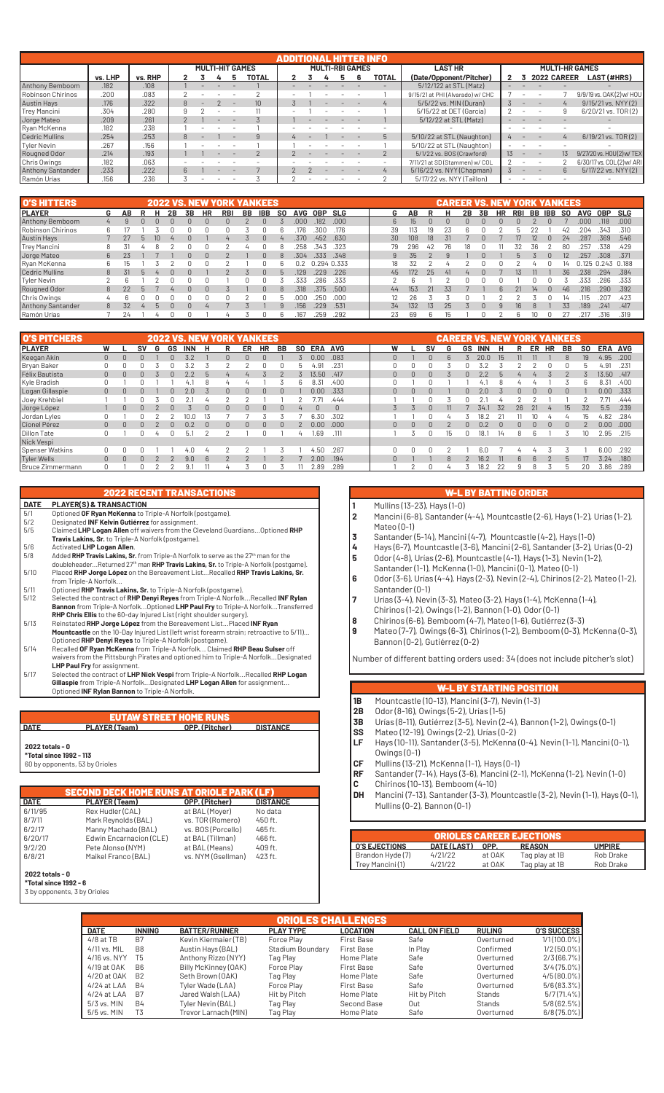|                          |         |         |  |                        |                 | ADDITIONAL HITTER INFO |  |                        |       |                                  |                 |                          |                       |    |                           |
|--------------------------|---------|---------|--|------------------------|-----------------|------------------------|--|------------------------|-------|----------------------------------|-----------------|--------------------------|-----------------------|----|---------------------------|
|                          |         |         |  | <b>MULTI-HIT GAMES</b> |                 |                        |  | <b>MULTI-RBI GAMES</b> |       | <b>LAST HR</b>                   |                 |                          | <b>MULTI-HR GAMES</b> |    |                           |
|                          | vs. LHP | vs. RHP |  |                        | TOTAL           |                        |  |                        | TOTAL | (Date/Opponent/Pitcher)          |                 |                          | 2022 CAREER           |    | <b>LAST (#HRS)</b>        |
| Anthony Bemboom          | .182    | .108    |  |                        |                 |                        |  |                        |       | 5/12/122 at STL (Matz)           |                 |                          |                       |    |                           |
| Robinson Chirinos        | .200    | .083    |  |                        |                 |                        |  |                        |       | 9/15/21 at PHI (Alvarado) w/ CHC |                 |                          |                       |    | 9/9/19 vs. 0AK(2) w/ HOU  |
| <b>Austin Hays</b>       | .176    | .322    |  |                        | 10 <sup>1</sup> |                        |  |                        |       | 5/5/22 vs. MIN (Duran)           |                 |                          |                       |    | 9/15/21 vs. NYY (2)       |
| Trey Mancini             | .304    | .280    |  |                        |                 |                        |  |                        |       | 5/15/22 at DET (García)          |                 |                          |                       |    | 6/20/21 vs. TOR(2)        |
| Jorge Mateo              | .209    | .261    |  |                        |                 |                        |  |                        |       | 5/12/22 at STL (Matz)            |                 |                          |                       |    |                           |
| Ryan McKenna             | .182    | .238    |  |                        |                 |                        |  |                        |       |                                  |                 |                          |                       |    |                           |
| Cedric Mullins           | .254    | .253    |  |                        |                 |                        |  |                        | 5     | 5/10/22 at STL (Naughton)        |                 |                          |                       |    | 6/19/21 vs. TOR(2)        |
| Tyler Nevin              | .267    | .156    |  |                        |                 |                        |  |                        |       | 5/10/22 at STL (Naughton)        |                 |                          |                       |    |                           |
| Rougned Odor             | .214    | .193    |  |                        |                 |                        |  |                        |       | 5/1/22 vs. BOS (Crawford)        | 13 <sup>7</sup> | $\overline{\phantom{a}}$ |                       | 13 | 9/27/20 vs. HOU(2) w/ TEX |
| Chris Owings             | .182    | .063    |  |                        |                 |                        |  |                        |       | 7/11/21 at SD (Stammen) w/ COL   |                 |                          |                       |    | 6/30/17 vs. COL(2) w/ ARI |
| <b>Anthony Santander</b> | .233    | .222    |  |                        |                 |                        |  |                        |       | 5/16/22 vs. NYY (Chapman)        |                 |                          |                       | հ  | 5/17/22 vs. NYY (2)       |
| Ramón Urías              | .156    | .236    |  |                        |                 |                        |  |                        |       | 5/17/22 vs. NYY (Taillon)        |                 |                          |                       |    |                           |

| <b>O'S HITTERS</b>    |                |    |    |    |              |           | <b>2022 VS. NEW YORK YANKEES</b> |    |            |           |            |             |      |    |     |                 | <b>CAREER VS. NEW YORK YANKEES</b> |    |    |           |            |     |     |     |       |             |      |
|-----------------------|----------------|----|----|----|--------------|-----------|----------------------------------|----|------------|-----------|------------|-------------|------|----|-----|-----------------|------------------------------------|----|----|-----------|------------|-----|-----|-----|-------|-------------|------|
| <b>IPLAYER</b>        | G              | AΒ |    | 2Β | 3В           | <b>HR</b> | <b>RBI</b>                       | BB | <b>IBB</b> | <b>SO</b> | <b>AVG</b> | <b>OBP</b>  | SLG  | G  | AB  |                 |                                    | 2В | 3B | <b>HR</b> | <b>RBI</b> | BB  | IBB | SO. | AVG   | 0BP         | SLG  |
| Anthony Bemboom       | 4              |    |    |    |              |           |                                  |    |            |           | .000       | 182         | .000 | 6. | 15  | $\Omega$        |                                    |    |    |           |            |     |     |     | .000  | .118        | .000 |
| Robinson Chirinos     | 6              |    |    |    |              |           |                                  |    |            |           | ľ/6        | 300         | .176 | 39 | 13  | 19              |                                    |    |    |           |            |     |     | 42  | 204   | .343        | .310 |
| <b>Austin Hays</b>    |                | 27 | 10 |    |              |           | 4                                |    | $\cap$     | 4         | .370       | .452        | .630 | 30 | 108 | 18              |                                    |    |    |           |            | 12  |     | 24  | .287  | .369        | .546 |
| Trey Mancini          | 8              |    |    |    |              |           |                                  |    |            |           | 258        | .343        | .323 | 79 | 296 | 42              | 76                                 |    |    |           |            | 36. |     | 80  | 257   | .338        | .429 |
| Jorge Mateo           | 6              |    |    |    | $\cap$       |           |                                  |    | $\Omega$   | 8         | .304       | .333        | .348 | 9  | 35  |                 |                                    |    |    |           |            |     |     | 12  | .257  | .308        | .371 |
| Ryan McKenna          | 6              | Ih |    |    |              |           |                                  |    |            |           | 0.2        | 0.294 0.333 |      | 18 | 32  |                 |                                    |    |    |           |            |     |     |     | 0.125 | 0.243 0.188 |      |
| <b>Cedric Mullins</b> | 8              | 31 |    |    |              |           |                                  |    | $\cap$     |           | 129        | 229         | .226 | 45 | 172 | 25              | 41                                 |    |    |           |            |     |     | 36  | .238  | .294        | .384 |
| Tyler Nevin           | $\sim$         |    |    |    |              |           |                                  |    |            |           | .333       | 286         | .333 |    | Բ   |                 |                                    |    |    |           |            |     |     |     | 333   | 286         | .333 |
| Rougned Odor          | 8              | 22 |    |    |              |           |                                  |    | $\cap$     | 8         | .318       | .375        | .500 | 44 | 153 | 21              | 33                                 |    |    |           |            | 14  |     | 46  | .216  | .290        | .392 |
| Chris Owings          | $\overline{u}$ |    |    |    |              |           |                                  |    |            |           |            | 250         | .000 | 12 | 26  |                 |                                    |    |    |           |            |     |     |     | 115   | 207         | .423 |
| Anthony Santander     | 8              | 32 | h  |    | <sup>n</sup> |           |                                  |    |            | $\alpha$  | 156        | 229         | .531 | 34 | 132 | 13 <sup>5</sup> | 25                                 |    |    |           | 16         |     |     | 33  | 189   | .241        | .417 |
| Ramón Urías           |                | 24 |    |    |              |           |                                  |    |            | Բ         | .167       | 259         | .292 | 23 | 69  | 6               | 15                                 |    |    |           |            |     |     |     | .217  | .316        | .319 |

| <b>O'S PITCHERS</b> |              |              |    |   | <b>2022 VS.</b> |      |                 | <b>YANKEES</b> |           |        |           |            |            |          |          |    | <b>CAREER</b> |        | VS         | <b>NEW</b> |    |             |          | <b>YORK YANKEES</b> |           |               |            |
|---------------------|--------------|--------------|----|---|-----------------|------|-----------------|----------------|-----------|--------|-----------|------------|------------|----------|----------|----|---------------|--------|------------|------------|----|-------------|----------|---------------------|-----------|---------------|------------|
| <b>IPLAYER</b>      | W            |              | SV | G | GS              | INN  |                 | ER             | <b>HR</b> | BB     | <b>SO</b> | <b>ERA</b> | <b>AVG</b> | w        |          | sv | G             | GS     | <b>INN</b> | н          | R  | ER          | HR       | BB                  | <b>SO</b> | <b>ERA</b>    | <b>AVG</b> |
| Keegan Akin         | $\mathbf{0}$ |              |    |   |                 |      |                 | $\Omega$       | n         |        |           | 0.00       | .083       |          |          |    |               |        | 20.0       | 15         | 11 |             |          | $\mathcal{B}$       | 19        | 4.95          | .200       |
| Bryan Baker         | 0            |              |    |   |                 |      |                 |                |           |        |           | 4.91       | .231       |          |          |    |               |        |            |            |    |             |          |                     |           | 91.ء          | .231       |
| Félix Bautista      | $\mathbf{0}$ |              |    |   |                 |      |                 |                |           |        |           | 13.50      | .417       |          |          |    |               |        |            |            |    |             |          |                     |           | 13.50         | .417       |
| Kyle Bradish        | 0            |              |    |   |                 |      |                 |                |           |        |           | 8.31       | .400       |          |          |    |               |        |            |            |    |             |          |                     |           | 8.31          | .400       |
| Logan Gillaspie     | $\mathbf{0}$ | n.           |    |   |                 | 2.0  |                 | $\Omega$       | n.        |        |           | 0.00       | .333       | 0        | $\Omega$ |    |               |        | 2.0        |            | 0. |             | n        |                     |           | 0.00          | .333       |
| Joey Krehbiel       |              |              |    |   |                 |      |                 |                |           |        |           |            | .444       |          |          |    |               |        |            |            |    |             |          |                     |           | $7.7^{\circ}$ | .444       |
| Jorge López         |              |              |    |   |                 |      |                 | $\Omega$       | n         |        |           | $\cap$     | $\Omega$   |          |          |    |               |        | 34.        | 32         | 26 | 21          |          | 15                  | 32        | 5.5           | .239       |
| Jordan Lyles        | 0            |              |    |   |                 | 10.0 |                 |                |           |        |           | 6.30       | .302       |          |          |    |               |        | 8.2        |            |    |             |          |                     | 15        | 4.82          | .284       |
| Cionel Pérez        | $\Omega$     | <sup>n</sup> | n  |   |                 | 0.2  | $\cap$          | $\Box$         | $\cap$    | $\cap$ |           | 0.00       | .000       | $\Omega$ | $\cap$   | n. |               | $\cap$ | 0.2        | $\Box$     | n. | n.          | $\Omega$ |                     |           | 0.00          | .000       |
| <b>Dillon Tate</b>  | 0            |              |    |   |                 | 5.   |                 |                |           |        |           | 1.69       | .111       |          |          |    | 15            |        | 18.        | 14         | 8  |             |          |                     |           | 2.95          | .215       |
| Nick Vespi          |              |              |    |   |                 |      |                 |                |           |        |           |            |            |          |          |    |               |        |            |            |    |             |          |                     |           |               |            |
| Spenser Watkins     | 0            |              |    |   |                 | 4.0  |                 |                |           |        |           | 50،        | .267       |          |          |    |               |        | 6.0        |            |    |             |          |                     |           | 6.00          | .292       |
| <b>Tyler Wells</b>  | $\Omega$     | $\Omega$     |    |   |                 | 9.0  | $6\overline{6}$ |                |           |        |           | 2.00       | .194       |          |          |    | 8             |        | 16.2       | -11        | 6  | $6^{\circ}$ |          | $\mathbf{h}$        | 17        | 3.24          | .180       |
| Bruce Zimmermann    | n.           |              |    |   |                 | 9.1  |                 |                |           |        |           | 2.89       | .289       |          |          |    |               |        | 18.2       |            | q  |             |          |                     | 20        | 3.86          | .289       |

| <b>DATE</b> | <b>PLAYER(S) &amp; TRANSACTION</b>                                                                                                  |
|-------------|-------------------------------------------------------------------------------------------------------------------------------------|
| 5/1         | Optioned OF Ryan McKenna to Triple-A Norfolk (postgame).                                                                            |
| 5/2         | Designated INF Kelvin Gutiérrez for assignment.                                                                                     |
| 5/5         | Claimed LHP Logan Allen off waivers from the Cleveland Guardians Optioned RHP<br>Travis Lakins, Sr. to Triple-A Norfolk (postgame). |
| 5/6         | Activated LHP Logan Allen.                                                                                                          |
| 5/8         |                                                                                                                                     |
|             | Added RHP Travis Lakins, Sr. from Triple-A Norfolk to serve as the 27 <sup>th</sup> man for the                                     |
| 5/10        | doubleheaderReturned 27 <sup>th</sup> man RHP Travis Lakins, Sr. to Triple-A Norfolk (postgame).                                    |
|             | Placed RHP Jorge López on the Bereavement ListRecalled RHP Travis Lakins, Sr.                                                       |
| 5/11        | from Triple-A Norfolk<br>Optioned RHP Travis Lakins, Sr. to Triple-A Norfolk (postgame).                                            |
| 5/12        | Selected the contract of RHP Denyi Reyes from Triple-A NorfolkRecalled INF Rylan                                                    |
|             | Bannon from Triple-A NorfolkOptioned LHP Paul Fry to Triple-A NorfolkTransferred                                                    |
|             | RHP Chris Ellis to the 60-day Injured List (right shoulder surgery).                                                                |
| 5/13        | Reinstated RHP Jorge López from the Bereavement List Placed INF Ryan                                                                |
|             | Mountcastle on the 10-Day Injured List (left wrist forearm strain; retroactive to 5/11)                                             |
|             | Optioned RHP Denyi Reyes to Triple-A Norfolk (postgame).                                                                            |
| 5/14        | Recalled OF Ryan McKenna from Triple-A Norfolk Claimed RHP Beau Sulser off                                                          |
|             | waivers from the Pittsburgh Pirates and optioned him to Triple-A NorfolkDesignated                                                  |
|             | LHP Paul Fry for assignment.                                                                                                        |
| 5/17        | Selected the contract of LHP Nick Vespi from Triple-A NorfolkRecalled RHP Logan                                                     |
|             | Gillaspie from Triple-A NorfolkDesignated LHP Logan Allen for assignment                                                            |
|             | Optioned INF Rylan Bannon to Triple-A Norfolk.                                                                                      |
|             |                                                                                                                                     |
|             |                                                                                                                                     |
|             | <b>EUTAW STREET HOME RUNS</b>                                                                                                       |
| <b>DATE</b> | PLAYER (Team)<br>OPP. (Pitcher)<br><b>DISTANCE</b>                                                                                  |

#### **\*Total since 1992 - 113**

60 by opponents, 53 by Orioles

|             | <b>SECOND DECK HOME RUNS AT ORIOLE PARK (LF)</b> |                    |                 |
|-------------|--------------------------------------------------|--------------------|-----------------|
| <b>DATE</b> | PLAYER (Team)                                    | OPP. (Pitcher)     | <b>DISTANCE</b> |
| 6/11/95     | Rex Hudler (CAL)                                 | at BAL (Moyer)     | No data         |
| 8/7/11      | Mark Reynolds (BAL)                              | vs. TOR (Romero)   | 450 ft.         |
| 6/2/17      | Manny Machado (BAL)                              | vs. BOS (Porcello) | 465 ft.         |
| 6/20/17     | Edwin Encarnacion (CLE)                          | at BAL (Tillman)   | 466 ft.         |
| 9/2/20      | Pete Alonso (NYM)                                | at BAL (Means)     | 409 ft.         |
| 6/8/21      | Maikel Franco (BAL)                              | vs. NYM (Gsellman) | 423 ft.         |

#### **2022 totals - 0 \*Total since 1992 - 6**

3 by opponents, 3 by Orioles

### W-L BY BATTING ORDER

- **1** Mullins (13-23), Hays (1-0)
- **2** Mancini (6-8), Santander (4-4), Mountcastle (2-6), Hays (1-2), Urías (1-2), Mateo (0-1)
- 
- **3 Santander** (5-14), Mancini (4-7), Mountcastle (4-2), Hays (1-0)<br>
Hays (6-7), Mountcastle (3-6), Mancini (2-6), Santander (3-2), L<br> **5** Odor (4-8), Urías (2-6), Mountcastle (4-1), Hays (1-3), Nevin (1-2 **4** Hays (6-7), Mountcastle (3-6), Mancini (2-6), Santander (3-2), Urías (0-2)
- **5** Odor (4-8), Urías (2-6), Mountcastle (4-1), Hays (1-3), Nevin (1-2), Santander (1-1), McKenna (1-0), Mancini (0-1), Mateo (0-1)
- **6** Odor (3-6), Urías (4-4), Hays (2-3), Nevin (2-4), Chirinos (2-2), Mateo (1-2), Santander (0-1)
- **7** Urías (3-4), Nevin (3-3), Mateo (3-2), Hays (1-4), McKenna (1-4),
- Chirinos (1-2), Owings (1-2), Bannon (1-0), Odor (0-1)
- **8** Chirinos (6-6), Bemboom (4-7), Mateo (1-6), Gutiérrez (3-3)<br>**8** Mateo (7-7), Owings (6-3), Chirinos (1-2), Bemboom (0-3), N
- **9** Mateo (7-7), Owings (6-3), Chirinos (1-2), Bemboom (0-3), McKenna (0-3), Bannon (0-2), Gutiérrez (0-2)

Number of different batting orders used: 34 (does not include pitcher's slot)

- **W-L BY STARTING POSITION<br><b>18** Mountcastle (10-13), Mancini (3-7), Nevin (1-3) **1B** Mountcastle (10-13), Mancini (3-7), Nevin (1-3)
- **2B** Odor (8-16), Owings (5-2), Urías (1-5)
- **3B** Urías (8-11), Gutiérrez (3-5), Nevin (2-4), Bannon (1-2), Owings (0-1)<br>**SS** Mateo (12-19), Owings (2-2), Urías (0-2)
- 
- **SS** Mateo (12-19), Owings (2-2), Urías (0-2)<br>**LF** Hays (10-11), Santander (3-5), McKenna **LF** Hays (10-11), Santander (3-5), McKenna (0-4), Nevin (1-1), Mancini (0-1), Owings (0-1)
- **CF** Mullins (13-21), McKenna (1-1), Hays (0-1)
- **RF** Santander (7-14), Hays (3-6), Mancini (2-1), McKenna (1-2), Nevin (1-0)
- **C** Chirinos (10-13), Bemboom (4-10)
- **DH** Mancini (7-13), Santander (3-3), Mountcastle (3-2), Nevin (1-1), Hays (0-1), Mullins (0-2), Bannon (0-1)

| <b>ORIOLES CAREER EJECTIONS</b> |             |        |                |               |  |  |  |  |  |
|---------------------------------|-------------|--------|----------------|---------------|--|--|--|--|--|
| <b>I O'S EJECTIONS</b>          | DATE (LAST) | OPP.   | <b>REASON</b>  | <b>UMPIRE</b> |  |  |  |  |  |
| Brandon Hyde (7)                | 4/21/22     | at OAK | Tag play at 1B | Rob Drake     |  |  |  |  |  |
| Trey Mancini (1)                | 4/21/22     | at OAK | Tag play at 1B | Rob Drake     |  |  |  |  |  |

|               | <b>ORIOLES CHALLENGES</b> |                      |                  |                   |                      |               |                    |  |  |  |  |  |
|---------------|---------------------------|----------------------|------------------|-------------------|----------------------|---------------|--------------------|--|--|--|--|--|
| <b>DATE</b>   | <b>INNING</b>             | <b>BATTER/RUNNER</b> | <b>PLAY TYPE</b> | <b>LOCATION</b>   | <b>CALL ON FIELD</b> | <b>RULING</b> | <b>O'S SUCCESS</b> |  |  |  |  |  |
| $4/8$ at TB   | B7                        | Kevin Kiermaier (TB) | Force Play       | <b>First Base</b> | Safe                 | Overturned    | 1/1(100.0%)        |  |  |  |  |  |
| 4/11 vs. MIL  | B <sub>8</sub>            | Austin Hays (BAL)    | Stadium Boundary | First Base        | In Play              | Confirmed     | $1/2(50.0\%)$      |  |  |  |  |  |
| 4/16 vs. NYY  | T5                        | Anthony Rizzo (NYY)  | Tag Play         | Home Plate        | Safe                 | Overturned    | 2/3(66.7%)         |  |  |  |  |  |
| 4/19 at OAK   | B <sub>6</sub>            | Billy McKinney (OAK) | Force Play       | First Base        | Safe                 | Overturned    | $3/4(75.0\%)$      |  |  |  |  |  |
| 4/20 at OAK   | B <sub>2</sub>            | Seth Brown (OAK)     | Tag Play         | Home Plate        | Safe                 | Overturned    | $4/5(80.0\%)$      |  |  |  |  |  |
| $4/24$ at LAA | <b>B4</b>                 | Tyler Wade (LAA)     | Force Play       | <b>First Base</b> | Safe                 | Overturned    | $5/6(83.3\%)$      |  |  |  |  |  |
| $4/24$ at LAA | B7                        | Jared Walsh (LAA)    | Hit by Pitch     | Home Plate        | Hit by Pitch         | Stands        | 5/7(71.4%          |  |  |  |  |  |
| $5/3$ vs. MIN | <b>B4</b>                 | Tyler Nevin (BAL)    | Tag Play         | Second Base       | Out                  | Stands        | $5/8(62.5\%)$      |  |  |  |  |  |
| 5/5 vs. MIN   | T <sub>3</sub>            | Trevor Larnach (MIN) | Tag Play         | Home Plate        | Safe                 | Overturned    | $6/8(75.0\%)$      |  |  |  |  |  |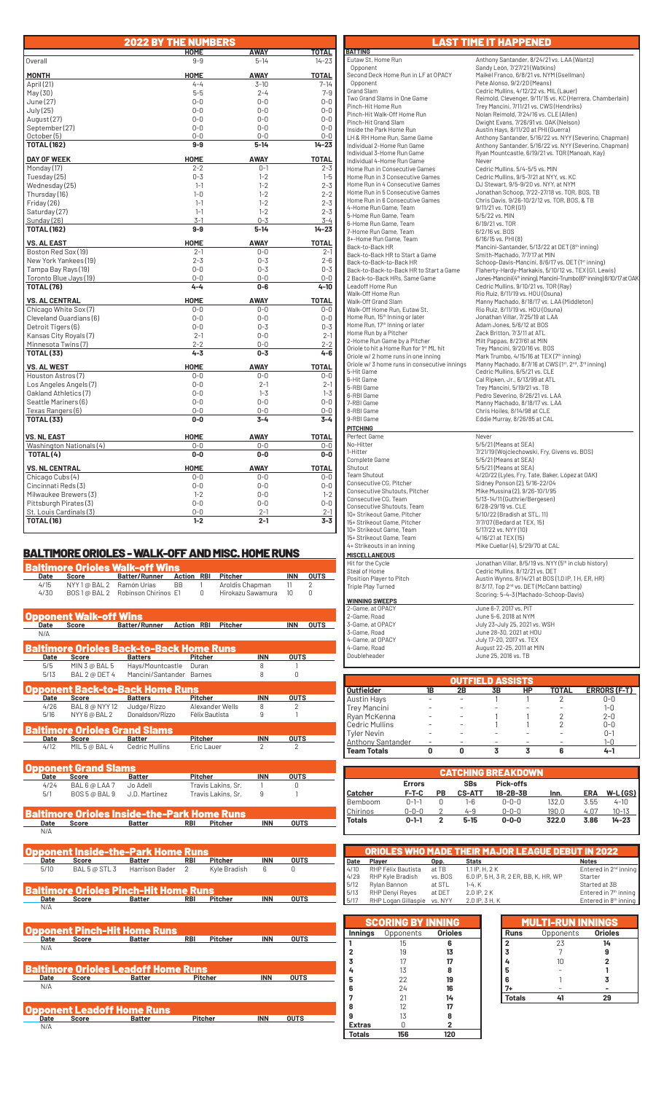|                                              | <b>2022 BY THE NUMBERS</b> |                    |                    |
|----------------------------------------------|----------------------------|--------------------|--------------------|
|                                              | <b>HOME</b>                | AWAY               | TOTAL              |
| Overall                                      | $9 - 9$                    | $5 - 14$           | $14 - 23$          |
| <b>MONTH</b>                                 | <b>HOME</b>                | <b>AWAY</b>        | <b>TOTAL</b>       |
| April (21)                                   | $4 - 4$                    | $3 - 10$           | $7 - 14$           |
| May(30)                                      | $5 - 5$                    | $2 - 4$            | $7 - 9$            |
| June (27)                                    | $0-0$                      | $0 - 0$            | $0 - 0$            |
| July (25)                                    | $0 - 0$                    | $0 - 0$            | $0 - 0$            |
| August (27)                                  | $0 - 0$                    | $0 - 0$            | $0 - 0$            |
| September (27)                               | $0 - 0$                    | $0 - 0$            | $0 - 0$            |
| October (5)                                  | $0 - 0$                    | $0 - 0$            | $0 - 0$            |
| <b>TOTAL (162)</b>                           | $9-9$                      | $5 - 14$           | $14 - 23$          |
| <b>DAY OF WEEK</b>                           | <b>HOME</b>                | <b>AWAY</b>        | <b>TOTAL</b>       |
| Monday (17)                                  | $2 - 2$                    | $0 - 1$            | $2 - 3$            |
| Tuesday (25)                                 | $0 - 3$                    | $1 - 2$            | $1 - 5$            |
| Wednesday (25)                               | $1 - 1$                    | $1 - 2$            | $2 - 3$            |
| Thursday (16)                                | $1 - 0$                    | $1 - 2$            | $2 - 2$            |
| Friday (26)                                  | $1 - 1$                    | $1 - 2$            | $2 - 3$            |
| Saturday (27)                                | $1 - 1$                    | $1 - 2$            | $2 - 3$            |
| Sunday (26)                                  | $3-1$                      | $0 - 3$            | $3 - 4$            |
| <b>TOTAL (162)</b>                           | 9-9                        | $5 - 14$           | $14 - 23$          |
| <b>VS. AL EAST</b>                           | <b>HOME</b>                | <b>AWAY</b>        | <b>TOTAL</b>       |
| Boston Red Sox (19)                          | $2 - 1$                    | $0-0$              | $2 - 1$            |
| New York Yankees (19)                        | $2 - 3$                    | $0 - 3$            | $2 - 6$            |
| Tampa Bay Rays (19)                          | $0 - 0$                    | $0 - 3$            | $0 - 3$            |
| Toronto Blue Jays (19)                       | $0 - 0$                    | $0 - 0$            | $0 - 0$            |
| <b>TOTAL (76)</b>                            | 4-4                        | $0 - 6$            | $4 - 10$           |
| <b>VS. AL CENTRAL</b>                        | <b>HOME</b>                | <b>AWAY</b>        | <b>TOTAL</b>       |
| Chicago White Sox (7)                        | $0 - 0$                    | $0 - 0$            | $0 - 0$            |
| Cleveland Guardians (6)                      | $0 - 0$                    | $0 - 0$            | $0 - 0$            |
| Detroit Tigers (6)                           | $0 - 0$                    | $0 - 3$            | $0 - 3$            |
| Kansas City Royals (7)                       | $2 - 1$                    | $0 - 0$            | $2 - 1$            |
| Minnesota Twins(7)<br><b>TOTAL (33)</b>      | $2 - 2$<br>$4 - 3$         | $0 - 0$<br>$0 - 3$ | $2 - 2$<br>$4 - 6$ |
|                                              |                            |                    |                    |
| <b>VS. AL WEST</b>                           | HOME                       | <b>AWAY</b>        | <b>TOTAL</b>       |
| Houston Astros (7)                           | $0-0$                      | 0-0                | $0 - 0$            |
| Los Angeles Angels (7)                       | $0 - 0$                    | $2 - 1$            | $2 - 1$            |
| Oakland Athletics (7)                        | $0-0$                      | $1 - 3$            | $1 - 3$            |
| Seattle Mariners (6)                         | $0 - 0$<br>$0 - 0$         | $0 - 0$<br>$0 - 0$ | $0 - 0$            |
| Texas Rangers (6)<br><b>TOTAL (33)</b>       | $0-0$                      | $3 - 4$            | $0-0$<br>$3 - 4$   |
|                                              |                            |                    |                    |
| <b>VS. NL EAST</b>                           | <b>HOME</b>                | <b>AWAY</b>        | <b>TOTAL</b>       |
| Washington Nationals (4)                     | $0-0$                      | $0-0$              | $0-0$              |
| TOTAL (4)                                    | $0-0$                      | $0-0$              | $0-0$              |
| <b>VS. NL CENTRAL</b>                        | <b>HOME</b>                | <b>AWAY</b>        | <b>TOTAL</b>       |
| Chicago Cubs (4)                             | $0 - 0$                    | $0 - 0$            | $0 - 0$            |
| Cincinnati Reds(3)                           | $0 - 0$                    | $0 - 0$            | $0 - 0$            |
| Milwaukee Brewers (3)                        | $1 - 2$                    | $0 - 0$            | $1 - 2$            |
| Pittsburgh Pirates (3)                       | $0 - 0$                    | $0 - 0$            | $0 - 0$            |
| St. Louis Cardinals (3)<br><b>TOTAL (16)</b> | $0 - 0$<br>$1 - 2$         | $2 - 1$<br>$2 - 1$ | $2 - 1$<br>$3 - 3$ |
|                                              |                            |                    |                    |

# BALTIMORE ORIOLES - WALK-OFF AND MISC. HOME RUNS

|                     |                                   | Baltimore Orioles Walk-off Wins            |                   |                    |                |                  |             |
|---------------------|-----------------------------------|--------------------------------------------|-------------------|--------------------|----------------|------------------|-------------|
| Date                | <b>Score</b>                      | <b>Batter/Runner</b>                       | <b>Action RBI</b> | <b>Pitcher</b>     |                | <b>INN</b>       | <b>OUTS</b> |
| 4/15                | NYY 1@ BAL 2                      | Ramón Urías                                | <b>BB</b><br>1    | Aroldis Chapman    |                | 11               | 2           |
| 4/30                | BOS1@BAL2                         | Robinson Chirinos E1                       | $\Omega$          | Hirokazu Sawamura  |                | 10 <sup>10</sup> | 0           |
|                     |                                   |                                            |                   |                    |                |                  |             |
|                     | pponent Walk-off Wins             |                                            |                   |                    |                |                  |             |
| Date                | Score                             | Batter/Runner Action RBI Pitcher           |                   |                    |                | <b>INN</b>       | <b>OUTS</b> |
| N/A                 |                                   |                                            |                   |                    |                |                  |             |
|                     |                                   | altimore Orioles Back-to-Back Home Runs    |                   |                    |                |                  |             |
| Date                | Score                             | <b>Batters</b>                             | Pitcher           |                    | <b>INN</b>     | <b>OUTS</b>      |             |
| 5/5                 | MIN 3 @ BAL 5                     | Hays/Mountcastle                           | Duran             |                    | 8              | 1                |             |
| 5/13                | BAL 2 @ DET 4                     | Mancini/Santander Barnes                   |                   |                    | 8              | 0                |             |
|                     |                                   | Opponent Back-to-Back Home Runs            |                   |                    |                |                  |             |
| Date                | Score                             | <b>Batters</b>                             | Pitcher           |                    | <b>INN</b>     | <b>OUTS</b>      |             |
| 4/26                | <b>BAL 8 @ NYY 12</b>             | Judge/Rizzo                                |                   | Alexander Wells    | 8              | 2                |             |
| 5/16                | NYY 6 @ BAL 2                     | Donaldson/Rizzo                            |                   | Félix Bautista     | 9              | 1                |             |
|                     |                                   | Baltimore Orioles Grand Slams              |                   |                    |                |                  |             |
| Date                | Score                             | Batter                                     | Pitcher           |                    | <b>INN</b>     | <b>OUTS</b>      |             |
| 4/12                | MIL 5 @ BAL 4                     | <b>Cedric Mullins</b>                      |                   | Eric Lauer         | $\overline{2}$ | $\overline{2}$   |             |
|                     | pponent Grand Slams               |                                            |                   |                    |                |                  |             |
|                     |                                   |                                            |                   |                    | <b>INN</b>     |                  |             |
| Date                | Score                             | <b>Batter</b>                              | <b>Pitcher</b>    |                    |                | <b>OUTS</b>      |             |
| 4/24                | BAL 6 @ LAA 7                     | Jo Adell                                   |                   | Travis Lakins, Sr. | 1<br>9         | 0<br>1           |             |
| 5/1                 | BOS 5 @ BAL 9                     | J.D. Martinez                              |                   | Travis Lakins, Sr. |                |                  |             |
|                     |                                   | altimore Orioles Inside-the-Park Home Runs |                   |                    |                |                  |             |
| Date                | <b>Score</b>                      | <b>Batter</b>                              | <b>RBI</b>        | Pitcher            | <b>INN</b>     | <b>OUTS</b>      |             |
| N/A                 |                                   |                                            |                   |                    |                |                  |             |
|                     |                                   |                                            |                   |                    |                |                  |             |
|                     |                                   | pponent Inside-the-Park Home Runs          |                   | <b>Pitcher</b>     | <b>INN</b>     | <b>OUTS</b>      |             |
| <b>Date</b><br>5/10 | Score<br>BAL 5 @ STL 3            | <b>Batter</b><br>Harrison Bader            | <b>RBI</b><br>2   | Kyle Bradish       | 6              | O                |             |
|                     |                                   |                                            |                   |                    |                |                  |             |
|                     |                                   | altimore Orioles Pinch-Hit Home Runs       |                   |                    |                |                  |             |
| Date                | Score                             | Batter                                     | RBI               | Pitcher            | <b>INN</b>     | <b>OUTS</b>      |             |
| N/A                 |                                   |                                            |                   |                    |                |                  |             |
|                     |                                   |                                            |                   |                    |                |                  |             |
|                     |                                   | <b>Opponent Pinch-Hit Home Runs</b>        |                   |                    |                |                  |             |
| Date                | <b>Score</b>                      | <b>Batter</b>                              | <b>RBI</b>        | <b>Pitcher</b>     | <b>INN</b>     | <b>OUTS</b>      |             |
| N/A                 |                                   |                                            |                   |                    |                |                  |             |
|                     |                                   | Baltimore Orioles Leadoff Home Runs        |                   |                    |                |                  |             |
| Date                | <b>Score</b>                      | <b>Batter</b>                              |                   | <b>Pitcher</b>     | <b>INN</b>     | <b>OUTS</b>      |             |
| N/A                 |                                   |                                            |                   |                    |                |                  |             |
|                     |                                   |                                            |                   |                    |                |                  |             |
|                     | <b>Opponent Leadoff Home Runs</b> |                                            |                   |                    |                |                  |             |
| Date                | <b>Score Score</b>                | Batter                                     |                   | Pitcher            | <b>INN</b>     | <b>OUTS</b>      |             |

 $\overline{N/k}$ 

LAST TIME IT HAPPENED**BATTING**<br>Eutaw St. Home Run Eutaw St. Home Run Anthony Santander, 8/24/21 vs. LAA (Wantz)<br>Coponent Anthony Sandy León, 7/27/21 (Watkins) Opponent Sandy León, 7/27/21 (Watkins) Second Deck Home Run in LF at OPACY<br>
Opponent Pete Alonso, 9/2/20 (Means)<br>
Copponent Pete Alonso, 9/2/20 (Means)<br>
Two Grand Slams in One Game Reimold, Clevenger, 9/11/15 vs. KC (Herrera, Chamberlain)<br>
Trey Mancini, 7/11/21 Pinch-Hit Walk-Off Home Run Nolan Reimold, 7/24/16 vs. CLE (Allen) Pinch-Hit Grand Slam Dwight Evans, 7/26/91 vs. OAK (Nelson) Inside the Park Home Run Austin Hays, 8/11/20 at PHI (Guerra) LH & RH Home Run, Same Game Anthony Santander, 5/16/22 vs. NYY (Severino, Chapman) Individual 2-Home Run Game Anthony Santander, 5/16/22 vs. NYY (Severino, Chapman) Individual 3-Home Run Game Ryan Mountcastle, 6/19/21 vs. TOR (Manoah, Kay) Pinch-Hit Grand Siam<br>
Inside the Park Home Run<br>
LH & RH Home Run, Same Game<br>
LH & RH Home Run, Same Game<br>
LH & RH Home Run, Same Game<br>
Anthony Santander, 5/16/22 vs<br>
Individual 3-Home Run Game<br>
Home Run in Consecutive Game Home Run in Consecutive Games Cedric Mullins, 5/4-5/5 vs. MIN Home Run in 3 Consecutive Games Cedric Mullins, 9/5-7/21 at NYY, vs. KC Home Run in 4 Consecutive Games DJ Stewart, 9/5-9/20 vs. NYY, at NYM Home Run in 5 Consecutive Games Jonathan Schoop, 7/22-27/18 vs. TOR, BOS, TB Home Run in 6 Consecutive Games Chris Davis, 9/26-10/2/12 vs. TOR, BOS, & TB 4-Home Run Game, Team 9/11/21 vs. TOR (G1) 5-Home Run Game, Team 5/5/22 vs. MIN 6-Home Run Game, Team 6/19/21 vs. TOR 7-Home Run Game, Team<br>8+-Home Run Game, Team 8+-Home Run Game, Team 6/16/15 vs. PHI (8) Back-to-Back HR Mancini-Santander, 5/13/22 at DET (8<sup>th</sup> inning) Back-to-Back HR to Start a Game Smith-Machado, 7/7/17 at MIN Back-to-Back-to-Back HR Schoop-Davis-Mancini, 8/6/17 vs. DET (1<sup>st</sup> inning) Back-to-Back-to-Back HR to Start a Game Flaherty-Hardy-Markakis, 5/10/12 vs. TEX (G1, Lewis) 2 Back-to-Back HRs, Same Game Jones-Mancini (4th inning), Mancini-Trumbo (6th inning) 8/10/17 at OAK Leadoff Home Run<br>
Walk-Off Home Run<br>
Walk-Off Grand Slam<br>
Walk-Off Grand Slam<br>
Walk-Off Home Run, Eutaw St.<br>
Walk-Off Home Run, Eutaw St.<br>
Walk-Off Home Run, Eutaw St.<br>
Walk-Off Home Run, Eutaw St.<br>
Home Run, IS<sup>th</sup> Inning Walk-Off Grand Slam<br>
Walk-Off Home Run, Eutaw St.<br>
Malny Machado, 8/18/17 vs.<br>
Home Run, 15<sup>th</sup> Inning or later<br>
Home Run, 17th Inning or later<br>
Home Run, 17th Inning or later<br>
Home Run, 17th Inning or later<br>
Home Run, 17t Home Run by a Pitcher Zack Britton, 7/3/11 at ATL 2-Home Run Game by a Pitcher Milt Pappas, 8/27/61 at MIN Oriole to hit a Home Run for 1<sup>st</sup> ML hit Trey Mancini, 9/20/16 vs. BOS<br>Oriole w/ 2 home runs in one inning Mark Trumbo, 4/15/16 at TEX (7<sup>th</sup> inning) Oriole w/ 3 home runs in consecutive innings Manny Machado, 8/7/16 at CWS ( $1^{\text{st}}$ ,  $2^{\text{nd}}$ ,  $3^{\text{rd}}$  inning) 5-Hit Game Cedric Mullins, 6/5/21 vs. CLE 6-Hit Game Cal Ripken, Jr., 6/13/99 at ATL 5-RBI Game Trey Mancini, 5/19/21 vs. TB 6-RBI Game Pedro Severino, 8/26/21 vs. LAA 7-RBI Game Manny Machado, 8/18/17 vs. LAA 8-RBI Game Chris Hoiles, 8/14/98 at CLE 9-RBI Game Eddie Murray, 8/26/85 at CAL  **PITCHING** Perfect Game<br>
No-Hitter<br>
1-Hitter<br>
Complete Game No-Hitter 5/5/21 (Means at SEA) 1-Hitter 7/21/19 (Wojciechowski, Fry, Givens vs. BOS) Complete Game 5/5/21 (Means at SEA) Shutout 5/5/21 (Means at SEA)<br>Team Shutout 6/2012/11 views Fry. Tai Team Shutout 4/20/22 (Lyles, Fry, Tate, Baker, López at OAK) Consecutive CG, Pitcher Sidney Ponson (2), 5/16-22/04 Consecutive Shutouts, Pitcher Mike Mussina (2), 9/26-10/1/95<br>Consecutive CG, Team 5/13-14/11 (Guthrie/Bergesen)<br>Consecutive Shutouts, Team 6/28-29/19 vs. CLE 10+ Strikeout Game, Pitcher 5/10/22 (Bradish at STL, 11) 15+ Strikeout Game, Pitcher 7/7/07 (Bedard at TEX, 15) 10+ Strikeout Game, Team 5/17/22 vs. NYY (10) 15+ Strikeout Game, Team 4/16/21 at TEX (15) 15+ Strikeout Garrie, Team<br>4+ Strikeouts in an inning Mike Cuellar (4), 5/29/70 at CAL **MISCELLANEOUS**<br>Hit for the Cycle<br>Steal of Home Hit for the Cycle<br>
Steal of Home<br>
Steal of Home<br>
Position Player to Pitch<br>
Position Player to Pitch<br>
Austin Wynns, 8/14/21 at BOS (1.0 IP, 1 H, ER, HR)<br>
Triple Play Turned<br>
Scoring: 5-4-3 (Machado-Schoop-Davis)<br>
Scoring: 5  **WINNING SWEEPS** 2-Game, at OPACY June 6-7, 2017 vs. PIT 2-Game, Road June 5-6, 2018 at NYM 3-Game, at OPACY July 23-July 25, 2021 vs. WSH 3-Game, Road June 28-30, 2021 at HOU 4-Game, at OPACY July 17-20, 2017 vs. TEX 4-Game, Road August 22-25, 2011 at MIN Doubleheader June 25, 2016 vs. TB

| OUTFIELD ASSISTS'        |    |    |    |    |       |                     |  |  |  |
|--------------------------|----|----|----|----|-------|---------------------|--|--|--|
| <b>Outfielder</b>        | 1B | 2B | 3B | HP | TOTAL | <b>ERRORS (F-T)</b> |  |  |  |
| Austin Hays              |    |    |    |    |       | $0 - 0$             |  |  |  |
| <b>Trey Mancini</b>      |    |    |    |    |       | $1 - 0$             |  |  |  |
| Ryan McKenna             |    |    |    |    |       | $2 - 0$             |  |  |  |
| <b>Cedric Mullins</b>    |    |    |    |    |       | $0 - 0$             |  |  |  |
| <b>Tyler Nevin</b>       |    |    |    |    |       | $0 - 1$             |  |  |  |
| <b>Anthony Santander</b> |    | -  |    |    |       | $1 - \Omega$        |  |  |  |
| <b>Team Totals</b>       |    |    |    |    |       | $4 - 1$             |  |  |  |

|               |               |           |               | <b>CATCHING BREAKDOWN</b> |       |            |           |
|---------------|---------------|-----------|---------------|---------------------------|-------|------------|-----------|
|               | <b>Errors</b> |           | <b>SBs</b>    | Pick-offs                 |       |            |           |
| Catcher       | F-T-C         | <b>PB</b> | <b>CS-ATT</b> | 1B-2B-3B                  | Inn.  | <b>ERA</b> | $W-L(GS)$ |
| Bemboom       | $n - 1 - 1$   | U         | 1-6           | $0 - 0 - 0$               | 132.0 | 3.55       | $4 - 10$  |
| Chirinos      | $0 - 0 - 0$   |           | $4 - 9$       | $0 - 0 - 0$               | 190.0 | 4.07       | $10 - 13$ |
| <b>Totals</b> | $0 - 1 - 1$   | 2         | $5 - 15$      | $0 - 0 - 0$               | 322.0 | 3.86       | $14 - 23$ |

|      |                     |         | <b>ORIOLES WHO MADE THEIR MAJOR LEAGUE DEBUT IN 2022</b> |                                   |
|------|---------------------|---------|----------------------------------------------------------|-----------------------------------|
| Date | <b>Plaver</b>       | Opp.    | <b>Stats</b>                                             | <b>Notes</b>                      |
| 4/10 | RHP Félix Bautista  | at TB   | $1.1$ IP, H, $2K$                                        | Entered in 2 <sup>nd</sup> inning |
| 4/29 | RHP Kyle Bradish    | vs. BOS | 6.0 IP, 5 H, 3 R, 2 ER, BB, K, HR, WP                    | Starter                           |
| 5/12 | Rylan Bannon        | at STL  | $1-4. K$                                                 | Started at 3B                     |
| 5/13 | RHP Denyi Reyes     | at DET  | 2.0 IP, 2 K                                              | Entered in 7 <sup>th</sup> inning |
| 5/17 | RHP Logan Gillaspie | vs. NYY | 2.0 IP, 3 H, K                                           | Entered in $8th$ inning           |

|                | <b>SCORING BY INNING</b> |                |
|----------------|--------------------------|----------------|
| <b>Innings</b> | Opponents                | <b>Orioles</b> |
| 1              | 15                       | 6              |
| $\overline{2}$ | 19                       | 13             |
| $\overline{3}$ | 17                       | 17             |
| 4              | 13                       | 8              |
| 5              | 22                       | 19             |
| 6              | 24                       | 16             |
| $\overline{7}$ | 21                       | 14             |
| 8              | 12                       | 17             |
| 9              | 13                       | 8              |
| <b>Extras</b>  | U                        | $\overline{2}$ |
| <b>Totals</b>  | 156                      | 120            |

|                | <b>MULTI-RUN INNINGS</b> |                |
|----------------|--------------------------|----------------|
| <b>Runs</b>    | Opponents                | <b>Orioles</b> |
| $\overline{2}$ | 23                       | 14             |
| $\overline{3}$ |                          | 9              |
|                | 10                       | 2              |
| 5              |                          |                |
| 6              |                          | 3              |
| 7+             |                          |                |
| <b>Totals</b>  |                          | 29             |